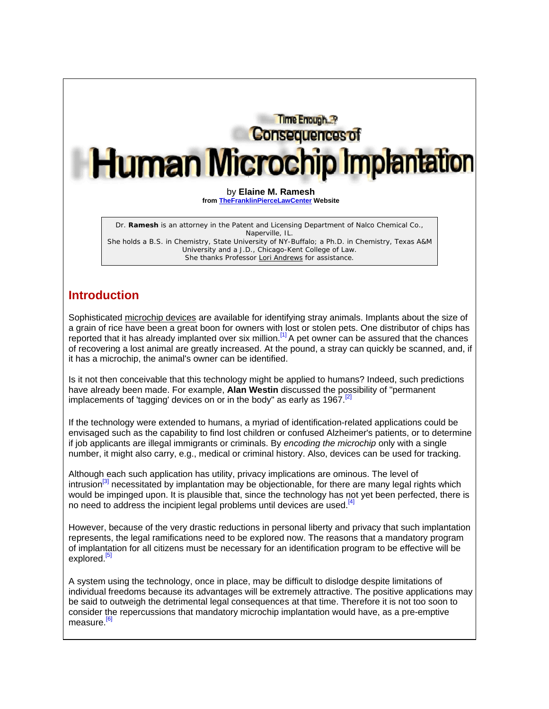Time Enough. **Consequences of Human Microchip Implantation** by **Elaine M. Ramesh from TheFranklinPierceLawCenter Website**

Dr. **Ramesh** is an attorney in the Patent and Licensing Department of Nalco Chemical Co., Naperville, IL. She holds a B.S. in Chemistry, State University of NY-Buffalo; a Ph.D. in Chemistry, Texas A&M University and a J.D., Chicago-Kent College of Law. She thanks Professor Lori Andrews for assistance.

# **Introduction**

Sophisticated microchip devices are available for identifying stray animals. Implants about the size of a grain of rice have been a great boon for owners with lost or stolen pets. One distributor of chips has reported that it has already implanted over six million.[1] A pet owner can be assured that the chances of recovering a lost animal are greatly increased. At the pound, a stray can quickly be scanned, and, if it has a microchip, the animal's owner can be identified.

Is it not then conceivable that this technology might be applied to humans? Indeed, such predictions have already been made. For example, **Alan Westin** discussed the possibility of "permanent implacements of 'tagging' devices on or in the body" as early as  $1967$ .<sup>[2]</sup>

If the technology were extended to humans, a myriad of identification-related applications could be envisaged such as the capability to find lost children or confused Alzheimer's patients, or to determine if job applicants are illegal immigrants or criminals. By *encoding the microchip* only with a single number, it might also carry, e.g., medical or criminal history. Also, devices can be used for tracking.

Although each such application has utility, privacy implications are ominous. The level of intrusion<sup>[3]</sup> necessitated by implantation may be objectionable, for there are many legal rights which would be impinged upon. It is plausible that, since the technology has not yet been perfected, there is no need to address the incipient legal problems until devices are used.<sup>[4]</sup>

However, because of the very drastic reductions in personal liberty and privacy that such implantation represents, the legal ramifications need to be explored now. The reasons that a mandatory program of implantation for all citizens must be necessary for an identification program to be effective will be explored.<sup>[5]</sup>

A system using the technology, once in place, may be difficult to dislodge despite limitations of individual freedoms because its advantages will be extremely attractive. The positive applications may be said to outweigh the detrimental legal consequences at that time. Therefore it is not too soon to consider the repercussions that mandatory microchip implantation would have, as a pre-emptive measure.<sup>[6]</sup>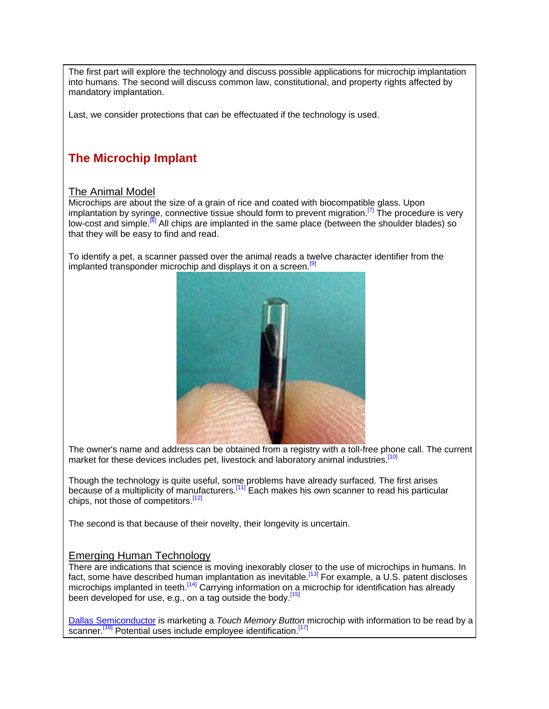The first part will explore the technology and discuss possible applications for microchip implantation into humans. The second will discuss common law, constitutional, and property rights affected by mandatory implantation.

Last, we consider protections that can be effectuated if the technology is used.

# **The Microchip Implant**

## The Animal Model

Microchips are about the size of a grain of rice and coated with biocompatible glass. Upon implantation by syringe, connective tissue should form to prevent migration.<sup>[7]</sup> The procedure is very low-cost and simple.<sup>[8]</sup> All chips are implanted in the same place (between the shoulder blades) so that they will be easy to find and read.

To identify a pet, a scanner passed over the animal reads a twelve character identifier from the implanted transponder microchip and displays it on a screen.<sup>[9]</sup>



The owner's name and address can be obtained from a registry with a toll-free phone call. The current market for these devices includes pet, livestock and laboratory animal industries.<sup>[10]</sup>

Though the technology is quite useful, some problems have already surfaced. The first arises because of a multiplicity of manufacturers.<sup>[11]</sup> Each makes his own scanner to read his particular chips, not those of competitors.<sup>[12]</sup>

The second is that because of their novelty, their longevity is uncertain.

## Emerging Human Technology

There are indications that science is moving inexorably closer to the use of microchips in humans. In fact, some have described human implantation as inevitable.<sup>[13]</sup> For example, a U.S. patent discloses microchips implanted in teeth.<sup>[14]</sup> Carrying information on a microchip for identification has already been developed for use, e.g., on a tag outside the body.<sup>[15]</sup>

Dallas Semiconductor is marketing a *Touch Memory Button* microchip with information to be read by a scanner.<sup>[16]</sup> Potential uses include employee identification.<sup>[17]</sup>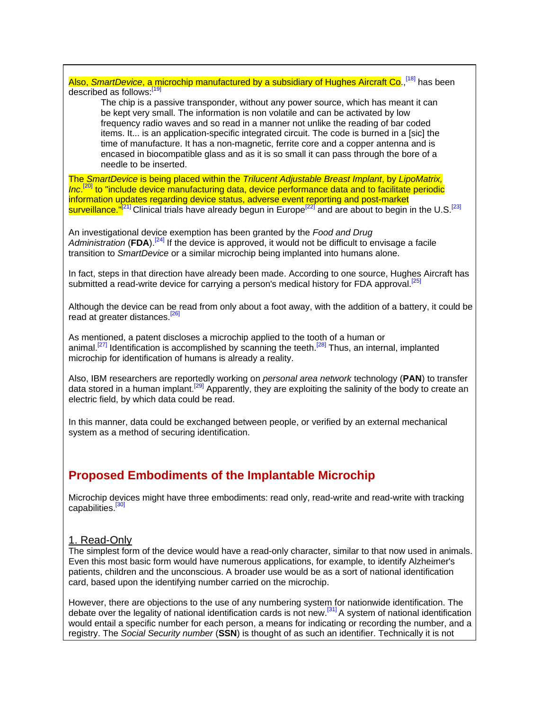Also, *SmartDevice*, a microchip manufactured by a subsidiary of Hughes Aircraft Co.,[18] has been described as follows:[19]

The chip is a passive transponder, without any power source, which has meant it can be kept very small. The information is non volatile and can be activated by low frequency radio waves and so read in a manner not unlike the reading of bar coded items. It... is an application-specific integrated circuit. The code is burned in a [sic] the time of manufacture. It has a non-magnetic, ferrite core and a copper antenna and is encased in biocompatible glass and as it is so small it can pass through the bore of a needle to be inserted.

The *SmartDevice* is being placed within the *Trilucent Adjustable Breast Implant*, by *LipoMatrix,*  Inc.<sup>[20]</sup> to "include device manufacturing data, device performance data and to facilitate periodic information updates regarding device status, adverse event reporting and post-market surveillance." $[21]$  Clinical trials have already begun in Europe<sup>[22]</sup> and are about to begin in the U.S.<sup>[23]</sup>

An investigational device exemption has been granted by the *Food and Drug Administration* (**FDA**).[24] If the device is approved, it would not be difficult to envisage a facile transition to *SmartDevice* or a similar microchip being implanted into humans alone.

In fact, steps in that direction have already been made. According to one source, Hughes Aircraft has submitted a read-write device for carrying a person's medical history for FDA approval.<sup>[25]</sup>

Although the device can be read from only about a foot away, with the addition of a battery, it could be read at greater distances.<sup>[26]</sup>

As mentioned, a patent discloses a microchip applied to the tooth of a human or animal.<sup>[27]</sup> Identification is accomplished by scanning the teeth.<sup>[28]</sup> Thus, an internal, implanted microchip for identification of humans is already a reality.

Also, IBM researchers are reportedly working on *personal area network* technology (**PAN**) to transfer data stored in a human implant.<sup>[29]</sup> Apparently, they are exploiting the salinity of the body to create an electric field, by which data could be read.

In this manner, data could be exchanged between people, or verified by an external mechanical system as a method of securing identification.

# **Proposed Embodiments of the Implantable Microchip**

Microchip devices might have three embodiments: read only, read-write and read-write with tracking capabilities.<sup>[30]</sup>

## 1. Read-Only

The simplest form of the device would have a read-only character, similar to that now used in animals. Even this most basic form would have numerous applications, for example, to identify Alzheimer's patients, children and the unconscious. A broader use would be as a sort of national identification card, based upon the identifying number carried on the microchip.

However, there are objections to the use of any numbering system for nationwide identification. The debate over the legality of national identification cards is not new.[31] A system of national identification would entail a specific number for each person, a means for indicating or recording the number, and a registry. The *Social Security number* (**SSN**) is thought of as such an identifier. Technically it is not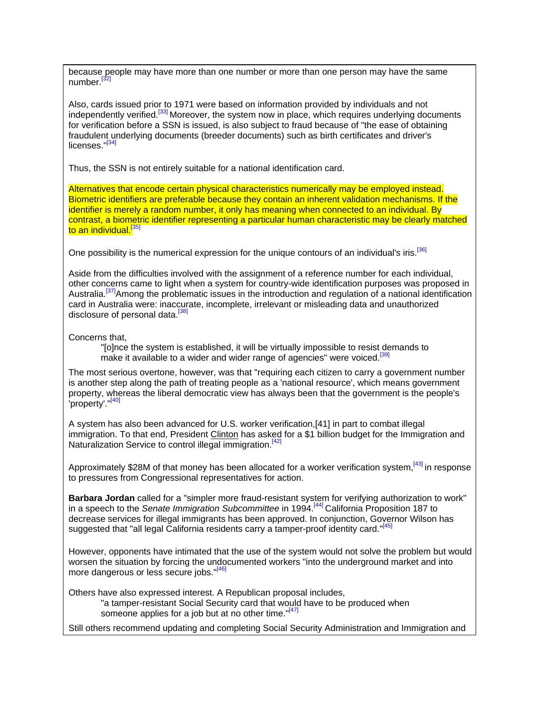because people may have more than one number or more than one person may have the same number.<sup>[32]</sup>

Also, cards issued prior to 1971 were based on information provided by individuals and not independently verified.<sup>[33]</sup> Moreover, the system now in place, which requires underlying documents for verification before a SSN is issued, is also subject to fraud because of "the ease of obtaining fraudulent underlying documents (breeder documents) such as birth certificates and driver's licenses."<sup>[34]</sup>

Thus, the SSN is not entirely suitable for a national identification card.

Alternatives that encode certain physical characteristics numerically may be employed instead. Biometric identifiers are preferable because they contain an inherent validation mechanisms. If the identifier is merely a random number, it only has meaning when connected to an individual. By contrast, a biometric identifier representing a particular human characteristic may be clearly matched to an individual.<sup>[35]</sup>

One possibility is the numerical expression for the unique contours of an individual's iris.<sup>[36]</sup>

Aside from the difficulties involved with the assignment of a reference number for each individual, other concerns came to light when a system for country-wide identification purposes was proposed in Australia.<sup>[37]</sup>Among the problematic issues in the introduction and regulation of a national identification card in Australia were: inaccurate, incomplete, irrelevant or misleading data and unauthorized disclosure of personal data.<sup>[38]</sup>

Concerns that,

"[o]nce the system is established, it will be virtually impossible to resist demands to make it available to a wider and wider range of agencies" were voiced.<sup>[39]</sup>

The most serious overtone, however, was that "requiring each citizen to carry a government number is another step along the path of treating people as a 'national resource', which means government property, whereas the liberal democratic view has always been that the government is the people's 'property'."<sup>[40]</sup>

A system has also been advanced for U.S. worker verification,[41] in part to combat illegal immigration. To that end, President Clinton has asked for a \$1 billion budget for the Immigration and Naturalization Service to control illegal immigration.<sup>[42]</sup>

Approximately \$28M of that money has been allocated for a worker verification system,<sup>[43]</sup> in response to pressures from Congressional representatives for action.

**Barbara Jordan** called for a "simpler more fraud-resistant system for verifying authorization to work" in a speech to the *Senate Immigration Subcommittee* in 1994.[44] California Proposition 187 to decrease services for illegal immigrants has been approved. In conjunction, Governor Wilson has suggested that "all legal California residents carry a tamper-proof identity card."<sup>[45]</sup>

However, opponents have intimated that the use of the system would not solve the problem but would worsen the situation by forcing the undocumented workers "into the underground market and into more dangerous or less secure jobs."[46]

Others have also expressed interest. A Republican proposal includes, "a tamper-resistant Social Security card that would have to be produced when someone applies for a job but at no other time."<sup>[47]</sup>

Still others recommend updating and completing Social Security Administration and Immigration and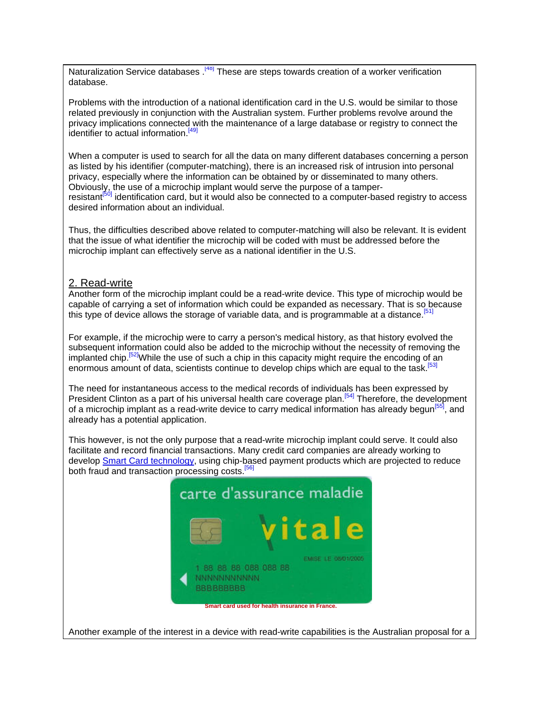Naturalization Service databases.<sup>[48]</sup> These are steps towards creation of a worker verification database.

Problems with the introduction of a national identification card in the U.S. would be similar to those related previously in conjunction with the Australian system. Further problems revolve around the privacy implications connected with the maintenance of a large database or registry to connect the identifier to actual information.  $[49]$ 

When a computer is used to search for all the data on many different databases concerning a person as listed by his identifier (computer-matching), there is an increased risk of intrusion into personal privacy, especially where the information can be obtained by or disseminated to many others. Obviously, the use of a microchip implant would serve the purpose of a tamperresistant<sup>[50]</sup> identification card, but it would also be connected to a computer-based registry to access desired information about an individual.

Thus, the difficulties described above related to computer-matching will also be relevant. It is evident that the issue of what identifier the microchip will be coded with must be addressed before the microchip implant can effectively serve as a national identifier in the U.S.

## 2. Read-write

Another form of the microchip implant could be a read-write device. This type of microchip would be capable of carrying a set of information which could be expanded as necessary. That is so because this type of device allows the storage of variable data, and is programmable at a distance.<sup>[51]</sup>

For example, if the microchip were to carry a person's medical history, as that history evolved the subsequent information could also be added to the microchip without the necessity of removing the implanted chip.<sup>[52]</sup>While the use of such a chip in this capacity might require the encoding of an enormous amount of data, scientists continue to develop chips which are equal to the task.<sup>[53]</sup>

The need for instantaneous access to the medical records of individuals has been expressed by President Clinton as a part of his universal health care coverage plan.<sup>[54]</sup> Therefore, the development of a microchip implant as a read-write device to carry medical information has already begun<sup>[55]</sup>, and already has a potential application.

This however, is not the only purpose that a read-write microchip implant could serve. It could also facilitate and record financial transactions. Many credit card companies are already working to develop Smart Card technology, using chip-based payment products which are projected to reduce both fraud and transaction processing costs.<sup>[56]</sup>



Another example of the interest in a device with read-write capabilities is the Australian proposal for a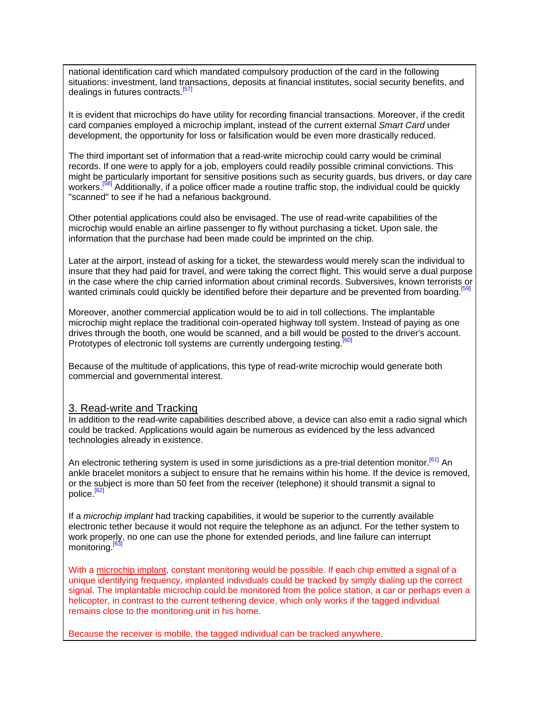national identification card which mandated compulsory production of the card in the following situations: investment, land transactions, deposits at financial institutes, social security benefits, and dealings in futures contracts.<sup>[57]</sup>

It is evident that microchips do have utility for recording financial transactions. Moreover, if the credit card companies employed a microchip implant, instead of the current external *Smart Card* under development, the opportunity for loss or falsification would be even more drastically reduced.

The third important set of information that a read-write microchip could carry would be criminal records. If one were to apply for a job, employers could readily possible criminal convictions. This might be particularly important for sensitive positions such as security guards, bus drivers, or day care workers.<sup>[58]</sup> Additionally, if a police officer made a routine traffic stop, the individual could be quickly "scanned" to see if he had a nefarious background.

Other potential applications could also be envisaged. The use of read-write capabilities of the microchip would enable an airline passenger to fly without purchasing a ticket. Upon sale, the information that the purchase had been made could be imprinted on the chip.

Later at the airport, instead of asking for a ticket, the stewardess would merely scan the individual to insure that they had paid for travel, and were taking the correct flight. This would serve a dual purpose in the case where the chip carried information about criminal records. Subversives, known terrorists or wanted criminals could quickly be identified before their departure and be prevented from boarding.<sup>[5]</sup>

Moreover, another commercial application would be to aid in toll collections. The implantable microchip might replace the traditional coin-operated highway toll system. Instead of paying as one drives through the booth, one would be scanned, and a bill would be posted to the driver's account. Prototypes of electronic toll systems are currently undergoing testing.<sup>[60]</sup>

Because of the multitude of applications, this type of read-write microchip would generate both commercial and governmental interest.

#### 3. Read-write and Tracking

In addition to the read-write capabilities described above, a device can also emit a radio signal which could be tracked. Applications would again be numerous as evidenced by the less advanced technologies already in existence.

An electronic tethering system is used in some jurisdictions as a pre-trial detention monitor.<sup>[61]</sup> An ankle bracelet monitors a subject to ensure that he remains within his home. If the device is removed, or the subject is more than 50 feet from the receiver (telephone) it should transmit a signal to police.<sup>[62]</sup>

If a *microchip implant* had tracking capabilities, it would be superior to the currently available electronic tether because it would not require the telephone as an adjunct. For the tether system to work properly, no one can use the phone for extended periods, and line failure can interrupt monitoring<sup>[63]</sup>

With a microchip implant, constant monitoring would be possible. If each chip emitted a signal of a unique identifying frequency, implanted individuals could be tracked by simply dialing up the correct signal. The implantable microchip could be monitored from the police station, a car or perhaps even a helicopter, in contrast to the current tethering device, which only works if the tagged individual remains close to the monitoring unit in his home.

Because the receiver is mobile, the tagged individual can be tracked anywhere.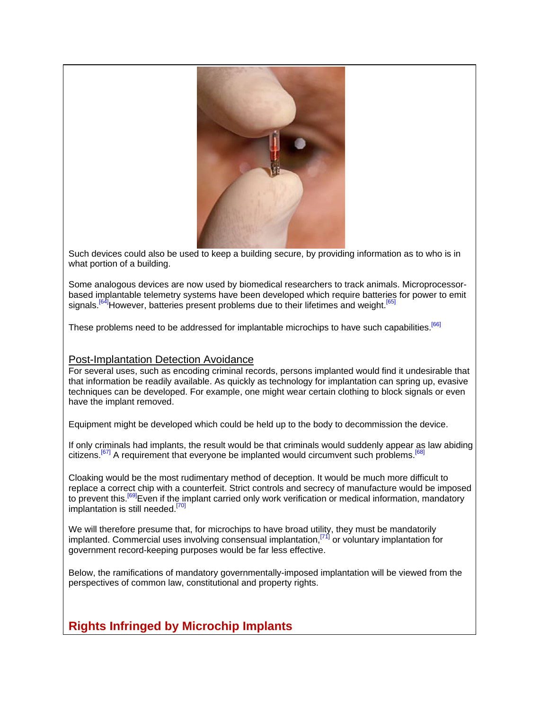

Such devices could also be used to keep a building secure, by providing information as to who is in what portion of a building.

Some analogous devices are now used by biomedical researchers to track animals. Microprocessorbased implantable telemetry systems have been developed which require batteries for power to emit signals.<sup>[64]</sup>However, batteries present problems due to their lifetimes and weight.<sup>[65]</sup>

These problems need to be addressed for implantable microchips to have such capabilities.<sup>[66]</sup>

## Post-Implantation Detection Avoidance

For several uses, such as encoding criminal records, persons implanted would find it undesirable that that information be readily available. As quickly as technology for implantation can spring up, evasive techniques can be developed. For example, one might wear certain clothing to block signals or even have the implant removed.

Equipment might be developed which could be held up to the body to decommission the device.

If only criminals had implants, the result would be that criminals would suddenly appear as law abiding citizens.<sup>[67]</sup> A requirement that everyone be implanted would circumvent such problems.<sup>[68]</sup>

Cloaking would be the most rudimentary method of deception. It would be much more difficult to replace a correct chip with a counterfeit. Strict controls and secrecy of manufacture would be imposed to prevent this.<sup>[69]</sup>Even if the implant carried only work verification or medical information, mandatory implantation is still needed.<sup>[70]</sup>

We will therefore presume that, for microchips to have broad utility, they must be mandatorily implanted. Commercial uses involving consensual implantation,  $[71]$  or voluntary implantation for government record-keeping purposes would be far less effective.

Below, the ramifications of mandatory governmentally-imposed implantation will be viewed from the perspectives of common law, constitutional and property rights.

**Rights Infringed by Microchip Implants**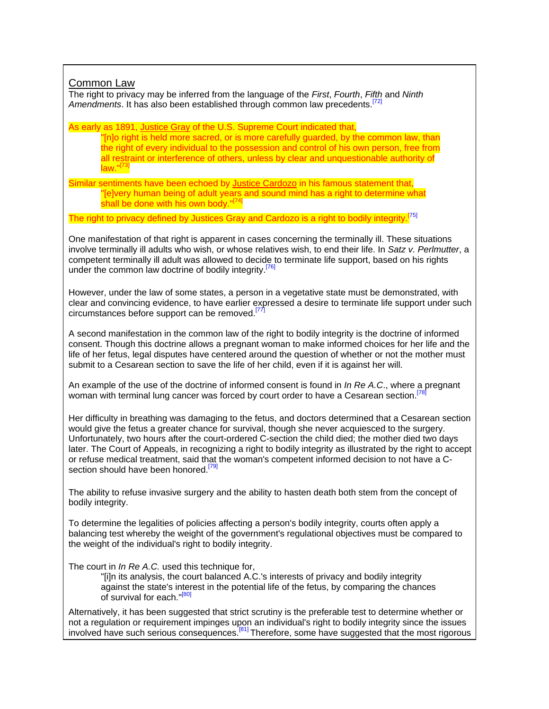# Common Law

The right to privacy may be inferred from the language of the *First*, *Fourth*, *Fifth* and *Ninth Amendments*. It has also been established through common law precedents.[72]

As early as 1891, Justice Gray of the U.S. Supreme Court indicated that,

"[n]o right is held more sacred, or is more carefully guarded, by the common law, than the right of every individual to the possession and control of his own person, free from all restraint or interference of others, unless by clear and unquestionable authority of law."<sup>[73]</sup>

Similar sentiments have been echoed by Justice Cardozo in his famous statement that, "[e]very human being of adult years and sound mind has a right to determine what shall be done with his own body."[74]

The right to privacy defined by Justices Gray and Cardozo is a right to bodily integrity.<sup>[75]</sup>

One manifestation of that right is apparent in cases concerning the terminally ill. These situations involve terminally ill adults who wish, or whose relatives wish, to end their life. In *Satz v. Perlmutter*, a competent terminally ill adult was allowed to decide to terminate life support, based on his rights under the common law doctrine of bodily integrity.<sup>[76]</sup>

However, under the law of some states, a person in a vegetative state must be demonstrated, with clear and convincing evidence, to have earlier expressed a desire to terminate life support under such circumstances before support can be removed.<sup>[77]</sup>

A second manifestation in the common law of the right to bodily integrity is the doctrine of informed consent. Though this doctrine allows a pregnant woman to make informed choices for her life and the life of her fetus, legal disputes have centered around the question of whether or not the mother must submit to a Cesarean section to save the life of her child, even if it is against her will.

An example of the use of the doctrine of informed consent is found in *In Re A.C*., where a pregnant woman with terminal lung cancer was forced by court order to have a Cesarean section.<sup>[78]</sup>

Her difficulty in breathing was damaging to the fetus, and doctors determined that a Cesarean section would give the fetus a greater chance for survival, though she never acquiesced to the surgery. Unfortunately, two hours after the court-ordered C-section the child died; the mother died two days later. The Court of Appeals, in recognizing a right to bodily integrity as illustrated by the right to accept or refuse medical treatment, said that the woman's competent informed decision to not have a Csection should have been honored.<sup>[79]</sup>

The ability to refuse invasive surgery and the ability to hasten death both stem from the concept of bodily integrity.

To determine the legalities of policies affecting a person's bodily integrity, courts often apply a balancing test whereby the weight of the government's regulational objectives must be compared to the weight of the individual's right to bodily integrity.

The court in *In Re A.C.* used this technique for,

"[i]n its analysis, the court balanced A.C.'s interests of privacy and bodily integrity against the state's interest in the potential life of the fetus, by comparing the chances of survival for each."<sup>[80]</sup>

Alternatively, it has been suggested that strict scrutiny is the preferable test to determine whether or not a regulation or requirement impinges upon an individual's right to bodily integrity since the issues involved have such serious consequences.<sup>[81]</sup> Therefore, some have suggested that the most rigorous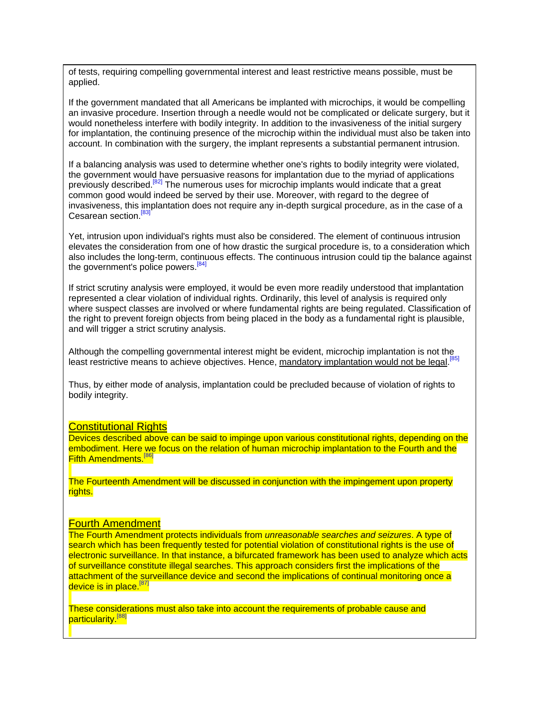of tests, requiring compelling governmental interest and least restrictive means possible, must be applied.

If the government mandated that all Americans be implanted with microchips, it would be compelling an invasive procedure. Insertion through a needle would not be complicated or delicate surgery, but it would nonetheless interfere with bodily integrity. In addition to the invasiveness of the initial surgery for implantation, the continuing presence of the microchip within the individual must also be taken into account. In combination with the surgery, the implant represents a substantial permanent intrusion.

If a balancing analysis was used to determine whether one's rights to bodily integrity were violated, the government would have persuasive reasons for implantation due to the myriad of applications previously described.<sup>[82]</sup> The numerous uses for microchip implants would indicate that a great common good would indeed be served by their use. Moreover, with regard to the degree of invasiveness, this implantation does not require any in-depth surgical procedure, as in the case of a Cesarean section.<sup>[83]</sup>

Yet, intrusion upon individual's rights must also be considered. The element of continuous intrusion elevates the consideration from one of how drastic the surgical procedure is, to a consideration which also includes the long-term, continuous effects. The continuous intrusion could tip the balance against the government's police powers. $\frac{84}{1}$ 

If strict scrutiny analysis were employed, it would be even more readily understood that implantation represented a clear violation of individual rights. Ordinarily, this level of analysis is required only where suspect classes are involved or where fundamental rights are being regulated. Classification of the right to prevent foreign objects from being placed in the body as a fundamental right is plausible, and will trigger a strict scrutiny analysis.

Although the compelling governmental interest might be evident, microchip implantation is not the least restrictive means to achieve objectives. Hence, mandatory implantation would not be legal.<sup>[85]</sup>

Thus, by either mode of analysis, implantation could be precluded because of violation of rights to bodily integrity.

#### **Constitutional Rights**

Devices described above can be said to impinge upon various constitutional rights, depending on the embodiment. Here we focus on the relation of human microchip implantation to the Fourth and the Fifth Amendments.<sup>[86]</sup>

The Fourteenth Amendment will be discussed in conjunction with the impingement upon property rights.

#### Fourth Amendment

The Fourth Amendment protects individuals from *unreasonable searches and seizures*. A type of search which has been frequently tested for potential violation of constitutional rights is the use of electronic surveillance. In that instance, a bifurcated framework has been used to analyze which acts of surveillance constitute illegal searches. This approach considers first the implications of the attachment of the surveillance device and second the implications of continual monitoring once a device is in place.<sup>[87</sup>]

These considerations must also take into account the requirements of probable cause and particularity.<sup>[88]</sup>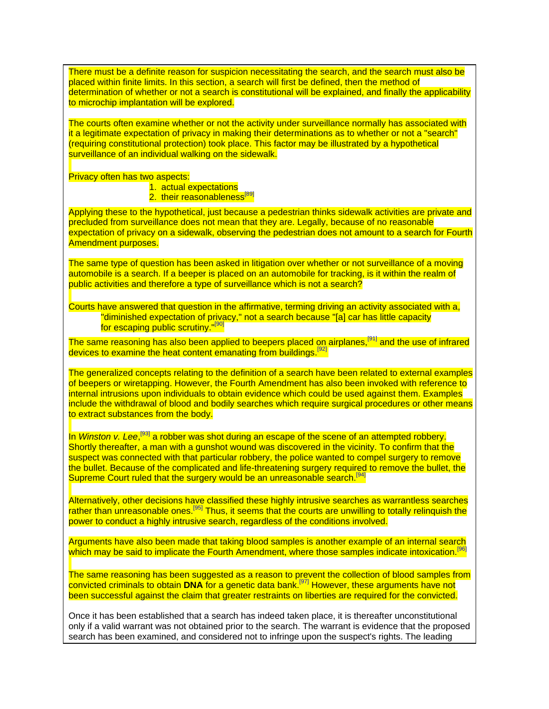There must be a definite reason for suspicion necessitating the search, and the search must also be placed within finite limits. In this section, a search will first be defined, then the method of determination of whether or not a search is constitutional will be explained, and finally the applicability to microchip implantation will be explored.

The courts often examine whether or not the activity under surveillance normally has associated with it a legitimate expectation of privacy in making their determinations as to whether or not a "search" (requiring constitutional protection) took place. This factor may be illustrated by a hypothetical surveillance of an individual walking on the sidewalk.

Privacy often has two aspects:

1. actual expectations

2. their reasonableness<sup>[89]</sup>

Applying these to the hypothetical, just because a pedestrian thinks sidewalk activities are private and precluded from surveillance does not mean that they are. Legally, because of no reasonable expectation of privacy on a sidewalk, observing the pedestrian does not amount to a search for Fourth Amendment purposes.

The same type of question has been asked in litigation over whether or not surveillance of a moving automobile is a search. If a beeper is placed on an automobile for tracking, is it within the realm of public activities and therefore a type of surveillance which is not a search?

Courts have answered that question in the affirmative, terming driving an activity associated with a, "diminished expectation of privacy," not a search because "[a] car has little capacity for escaping public scrutiny."<sup>[90]</sup>

The same reasoning has also been applied to beepers placed on airplanes,<sup>[91]</sup> and the use of infrared devices to examine the heat content emanating from buildings.<sup>[92]</sup>

The generalized concepts relating to the definition of a search have been related to external examples of beepers or wiretapping. However, the Fourth Amendment has also been invoked with reference to internal intrusions upon individuals to obtain evidence which could be used against them. Examples include the withdrawal of blood and bodily searches which require surgical procedures or other means to extract substances from the body.

In *Winston v. Lee*,<sup>[93]</sup> a robber was shot during an escape of the scene of an attempted robbery. Shortly thereafter, a man with a gunshot wound was discovered in the vicinity. To confirm that the suspect was connected with that particular robbery, the police wanted to compel surgery to remove the bullet. Because of the complicated and life-threatening surgery required to remove the bullet, the Supreme Court ruled that the surgery would be an unreasonable search.<sup>[94]</sup>

Alternatively, other decisions have classified these highly intrusive searches as warrantless searches rather than unreasonable ones.<sup>[95]</sup> Thus, it seems that the courts are unwilling to totally relinquish the power to conduct a highly intrusive search, regardless of the conditions involved.

Arguments have also been made that taking blood samples is another example of an internal search which may be said to implicate the Fourth Amendment, where those samples indicate intoxication.<sup>[96]</sup>

The same reasoning has been suggested as a reason to prevent the collection of blood samples from convicted criminals to obtain **DNA** for a genetic data bank.[97] However, these arguments have not been successful against the claim that greater restraints on liberties are required for the convicted.

Once it has been established that a search has indeed taken place, it is thereafter unconstitutional only if a valid warrant was not obtained prior to the search. The warrant is evidence that the proposed search has been examined, and considered not to infringe upon the suspect's rights. The leading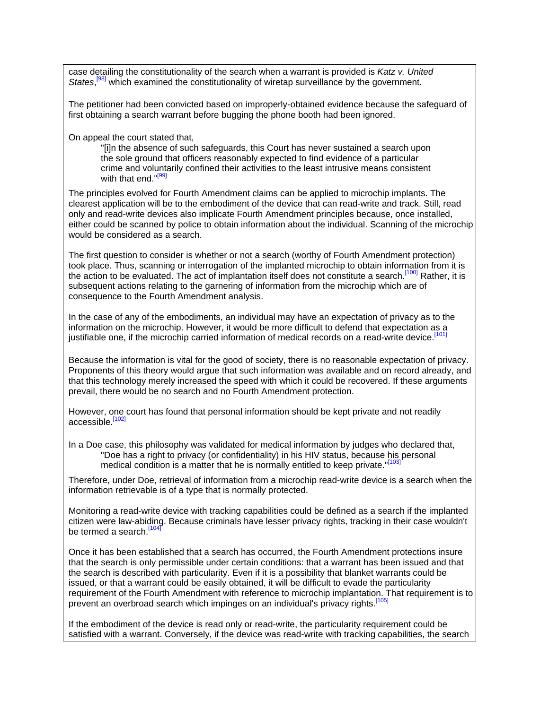case detailing the constitutionality of the search when a warrant is provided is *Katz v. United*  States,<sup>[98]</sup> which examined the constitutionality of wiretap surveillance by the government.

The petitioner had been convicted based on improperly-obtained evidence because the safeguard of first obtaining a search warrant before bugging the phone booth had been ignored.

On appeal the court stated that,

"[i]n the absence of such safeguards, this Court has never sustained a search upon the sole ground that officers reasonably expected to find evidence of a particular crime and voluntarily confined their activities to the least intrusive means consistent with that end."<sup>[99</sup>]

The principles evolved for Fourth Amendment claims can be applied to microchip implants. The clearest application will be to the embodiment of the device that can read-write and track. Still, read only and read-write devices also implicate Fourth Amendment principles because, once installed, either could be scanned by police to obtain information about the individual. Scanning of the microchip would be considered as a search.

The first question to consider is whether or not a search (worthy of Fourth Amendment protection) took place. Thus, scanning or interrogation of the implanted microchip to obtain information from it is the action to be evaluated. The act of implantation itself does not constitute a search.<sup>[100]</sup> Rather, it is subsequent actions relating to the garnering of information from the microchip which are of consequence to the Fourth Amendment analysis.

In the case of any of the embodiments, an individual may have an expectation of privacy as to the information on the microchip. However, it would be more difficult to defend that expectation as a justifiable one, if the microchip carried information of medical records on a read-write device.<sup>[101]</sup>

Because the information is vital for the good of society, there is no reasonable expectation of privacy. Proponents of this theory would argue that such information was available and on record already, and that this technology merely increased the speed with which it could be recovered. If these arguments prevail, there would be no search and no Fourth Amendment protection.

However, one court has found that personal information should be kept private and not readily accessible.<sup>[102]</sup>

In a Doe case, this philosophy was validated for medical information by judges who declared that, "Doe has a right to privacy (or confidentiality) in his HIV status, because his personal medical condition is a matter that he is normally entitled to keep private."<sup>[103</sup>]

Therefore, under Doe, retrieval of information from a microchip read-write device is a search when the information retrievable is of a type that is normally protected.

Monitoring a read-write device with tracking capabilities could be defined as a search if the implanted citizen were law-abiding. Because criminals have lesser privacy rights, tracking in their case wouldn't be termed a search.<sup>[104]</sup>

Once it has been established that a search has occurred, the Fourth Amendment protections insure that the search is only permissible under certain conditions: that a warrant has been issued and that the search is described with particularity. Even if it is a possibility that blanket warrants could be issued, or that a warrant could be easily obtained, it will be difficult to evade the particularity requirement of the Fourth Amendment with reference to microchip implantation. That requirement is to prevent an overbroad search which impinges on an individual's privacy rights.<sup>[105]</sup>

If the embodiment of the device is read only or read-write, the particularity requirement could be satisfied with a warrant. Conversely, if the device was read-write with tracking capabilities, the search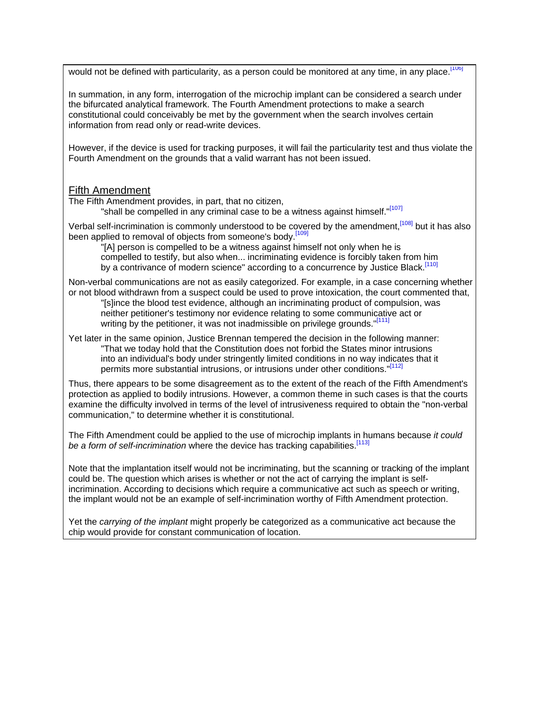would not be defined with particularity, as a person could be monitored at any time, in any place.<sup>[106]</sup>

In summation, in any form, interrogation of the microchip implant can be considered a search under the bifurcated analytical framework. The Fourth Amendment protections to make a search constitutional could conceivably be met by the government when the search involves certain information from read only or read-write devices.

However, if the device is used for tracking purposes, it will fail the particularity test and thus violate the Fourth Amendment on the grounds that a valid warrant has not been issued.

## Fifth Amendment

The Fifth Amendment provides, in part, that no citizen,

"shall be compelled in any criminal case to be a witness against himself."<sup>[107]</sup>

Verbal self-incrimination is commonly understood to be covered by the amendment, [108] but it has also been applied to removal of objects from someone's body.<sup>[109]</sup>

"[A] person is compelled to be a witness against himself not only when he is compelled to testify, but also when... incriminating evidence is forcibly taken from him by a contrivance of modern science" according to a concurrence by Justice Black.<sup>[110]</sup>

Non-verbal communications are not as easily categorized. For example, in a case concerning whether or not blood withdrawn from a suspect could be used to prove intoxication, the court commented that, "[s]ince the blood test evidence, although an incriminating product of compulsion, was neither petitioner's testimony nor evidence relating to some communicative act or writing by the petitioner, it was not inadmissible on privilege grounds."<sup>[111]</sup>

Yet later in the same opinion, Justice Brennan tempered the decision in the following manner: "That we today hold that the Constitution does not forbid the States minor intrusions into an individual's body under stringently limited conditions in no way indicates that it permits more substantial intrusions, or intrusions under other conditions."[112]

Thus, there appears to be some disagreement as to the extent of the reach of the Fifth Amendment's protection as applied to bodily intrusions. However, a common theme in such cases is that the courts examine the difficulty involved in terms of the level of intrusiveness required to obtain the "non-verbal communication," to determine whether it is constitutional.

The Fifth Amendment could be applied to the use of microchip implants in humans because *it could*  be a form of self-incrimination where the device has tracking capabilities.<sup>[113]</sup>

Note that the implantation itself would not be incriminating, but the scanning or tracking of the implant could be. The question which arises is whether or not the act of carrying the implant is selfincrimination. According to decisions which require a communicative act such as speech or writing, the implant would not be an example of self-incrimination worthy of Fifth Amendment protection.

Yet the *carrying of the implant* might properly be categorized as a communicative act because the chip would provide for constant communication of location.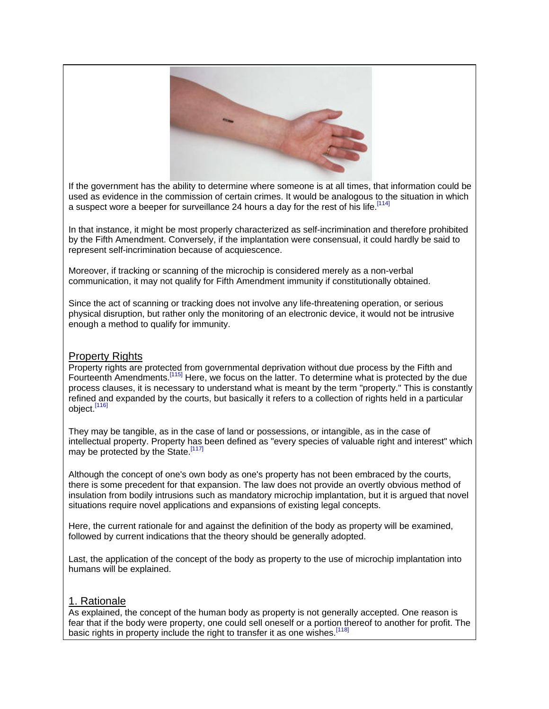

If the government has the ability to determine where someone is at all times, that information could be used as evidence in the commission of certain crimes. It would be analogous to the situation in which a suspect wore a beeper for surveillance 24 hours a day for the rest of his life.<sup>[114]</sup>

In that instance, it might be most properly characterized as self-incrimination and therefore prohibited by the Fifth Amendment. Conversely, if the implantation were consensual, it could hardly be said to represent self-incrimination because of acquiescence.

Moreover, if tracking or scanning of the microchip is considered merely as a non-verbal communication, it may not qualify for Fifth Amendment immunity if constitutionally obtained.

Since the act of scanning or tracking does not involve any life-threatening operation, or serious physical disruption, but rather only the monitoring of an electronic device, it would not be intrusive enough a method to qualify for immunity.

## Property Rights

Property rights are protected from governmental deprivation without due process by the Fifth and Fourteenth Amendments.[115] Here, we focus on the latter. To determine what is protected by the due process clauses, it is necessary to understand what is meant by the term "property." This is constantly refined and expanded by the courts, but basically it refers to a collection of rights held in a particular object.<sup>[116]</sup>

They may be tangible, as in the case of land or possessions, or intangible, as in the case of intellectual property. Property has been defined as "every species of valuable right and interest" which may be protected by the State.<sup>[117]</sup>

Although the concept of one's own body as one's property has not been embraced by the courts, there is some precedent for that expansion. The law does not provide an overtly obvious method of insulation from bodily intrusions such as mandatory microchip implantation, but it is argued that novel situations require novel applications and expansions of existing legal concepts.

Here, the current rationale for and against the definition of the body as property will be examined, followed by current indications that the theory should be generally adopted.

Last, the application of the concept of the body as property to the use of microchip implantation into humans will be explained.

## 1. Rationale

As explained, the concept of the human body as property is not generally accepted. One reason is fear that if the body were property, one could sell oneself or a portion thereof to another for profit. The basic rights in property include the right to transfer it as one wishes.<sup>[118]</sup>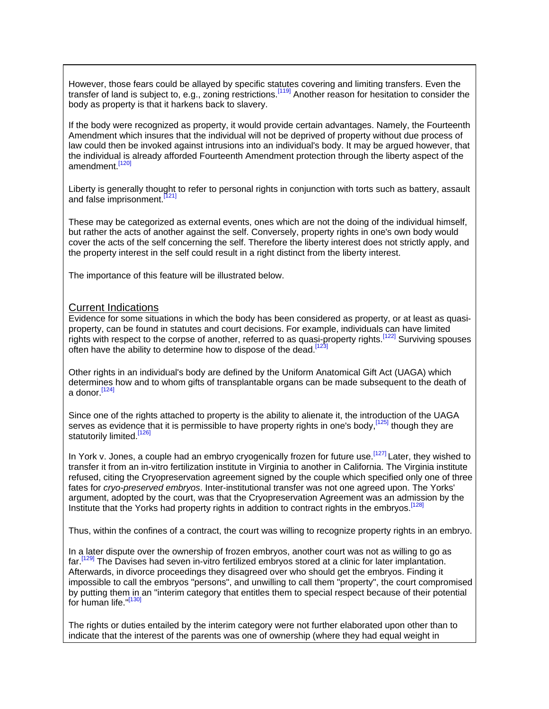However, those fears could be allayed by specific statutes covering and limiting transfers. Even the transfer of land is subject to, e.g., zoning restrictions.[119] Another reason for hesitation to consider the body as property is that it harkens back to slavery.

If the body were recognized as property, it would provide certain advantages. Namely, the Fourteenth Amendment which insures that the individual will not be deprived of property without due process of law could then be invoked against intrusions into an individual's body. It may be argued however, that the individual is already afforded Fourteenth Amendment protection through the liberty aspect of the amendment.<sup>[120]</sup>

Liberty is generally thought to refer to personal rights in conjunction with torts such as battery, assault and false imprisonment.<sup>[121]</sup>

These may be categorized as external events, ones which are not the doing of the individual himself, but rather the acts of another against the self. Conversely, property rights in one's own body would cover the acts of the self concerning the self. Therefore the liberty interest does not strictly apply, and the property interest in the self could result in a right distinct from the liberty interest.

The importance of this feature will be illustrated below.

## Current Indications

Evidence for some situations in which the body has been considered as property, or at least as quasiproperty, can be found in statutes and court decisions. For example, individuals can have limited rights with respect to the corpse of another, referred to as quasi-property rights.<sup>[122]</sup> Surviving spouses often have the ability to determine how to dispose of the dead [123]

Other rights in an individual's body are defined by the Uniform Anatomical Gift Act (UAGA) which determines how and to whom gifts of transplantable organs can be made subsequent to the death of a donor.  $[124]$ 

Since one of the rights attached to property is the ability to alienate it, the introduction of the UAGA serves as evidence that it is permissible to have property rights in one's body.<sup>[125]</sup> though they are statutorily limited.<sup>[126]</sup>

In York v. Jones, a couple had an embryo cryogenically frozen for future use.<sup>[127]</sup> Later, they wished to transfer it from an in-vitro fertilization institute in Virginia to another in California. The Virginia institute refused, citing the Cryopreservation agreement signed by the couple which specified only one of three fates for *cryo-preserved embryos*. Inter-institutional transfer was not one agreed upon. The Yorks' argument, adopted by the court, was that the Cryopreservation Agreement was an admission by the Institute that the Yorks had property rights in addition to contract rights in the embryos.<sup>[128]</sup>

Thus, within the confines of a contract, the court was willing to recognize property rights in an embryo.

In a later dispute over the ownership of frozen embryos, another court was not as willing to go as far.[129] The Davises had seven in-vitro fertilized embryos stored at a clinic for later implantation. Afterwards, in divorce proceedings they disagreed over who should get the embryos. Finding it impossible to call the embryos "persons", and unwilling to call them "property", the court compromised by putting them in an "interim category that entitles them to special respect because of their potential for human life."<sup>[130]</sup>

The rights or duties entailed by the interim category were not further elaborated upon other than to indicate that the interest of the parents was one of ownership (where they had equal weight in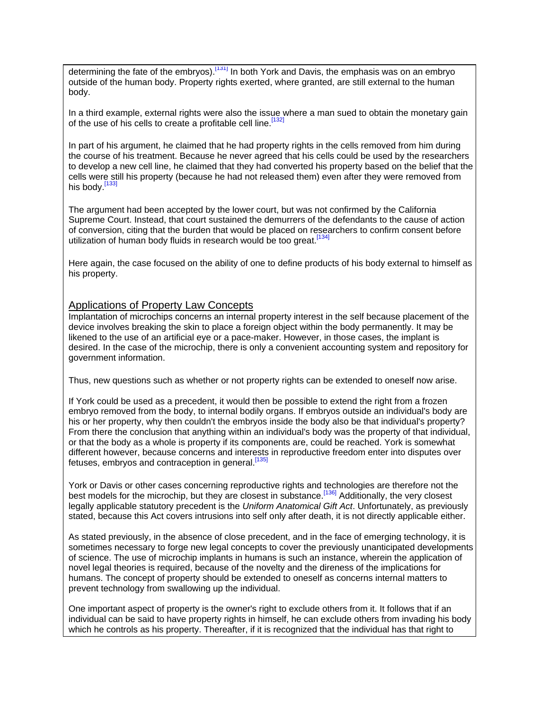determining the fate of the embryos).<sup>[131]</sup> In both York and Davis, the emphasis was on an embryo outside of the human body. Property rights exerted, where granted, are still external to the human body.

In a third example, external rights were also the issue where a man sued to obtain the monetary gain of the use of his cells to create a profitable cell line.<sup>[132]</sup>

In part of his argument, he claimed that he had property rights in the cells removed from him during the course of his treatment. Because he never agreed that his cells could be used by the researchers to develop a new cell line, he claimed that they had converted his property based on the belief that the cells were still his property (because he had not released them) even after they were removed from his body.<sup>[133]</sup>

The argument had been accepted by the lower court, but was not confirmed by the California Supreme Court. Instead, that court sustained the demurrers of the defendants to the cause of action of conversion, citing that the burden that would be placed on researchers to confirm consent before utilization of human body fluids in research would be too great.<sup>[134]</sup>

Here again, the case focused on the ability of one to define products of his body external to himself as his property.

### Applications of Property Law Concepts

Implantation of microchips concerns an internal property interest in the self because placement of the device involves breaking the skin to place a foreign object within the body permanently. It may be likened to the use of an artificial eye or a pace-maker. However, in those cases, the implant is desired. In the case of the microchip, there is only a convenient accounting system and repository for government information.

Thus, new questions such as whether or not property rights can be extended to oneself now arise.

If York could be used as a precedent, it would then be possible to extend the right from a frozen embryo removed from the body, to internal bodily organs. If embryos outside an individual's body are his or her property, why then couldn't the embryos inside the body also be that individual's property? From there the conclusion that anything within an individual's body was the property of that individual, or that the body as a whole is property if its components are, could be reached. York is somewhat different however, because concerns and interests in reproductive freedom enter into disputes over fetuses, embryos and contraception in general.<sup>[135]</sup>

York or Davis or other cases concerning reproductive rights and technologies are therefore not the best models for the microchip, but they are closest in substance.<sup>[136]</sup> Additionally, the very closest legally applicable statutory precedent is the *Uniform Anatomical Gift Act*. Unfortunately, as previously stated, because this Act covers intrusions into self only after death, it is not directly applicable either.

As stated previously, in the absence of close precedent, and in the face of emerging technology, it is sometimes necessary to forge new legal concepts to cover the previously unanticipated developments of science. The use of microchip implants in humans is such an instance, wherein the application of novel legal theories is required, because of the novelty and the direness of the implications for humans. The concept of property should be extended to oneself as concerns internal matters to prevent technology from swallowing up the individual.

One important aspect of property is the owner's right to exclude others from it. It follows that if an individual can be said to have property rights in himself, he can exclude others from invading his body which he controls as his property. Thereafter, if it is recognized that the individual has that right to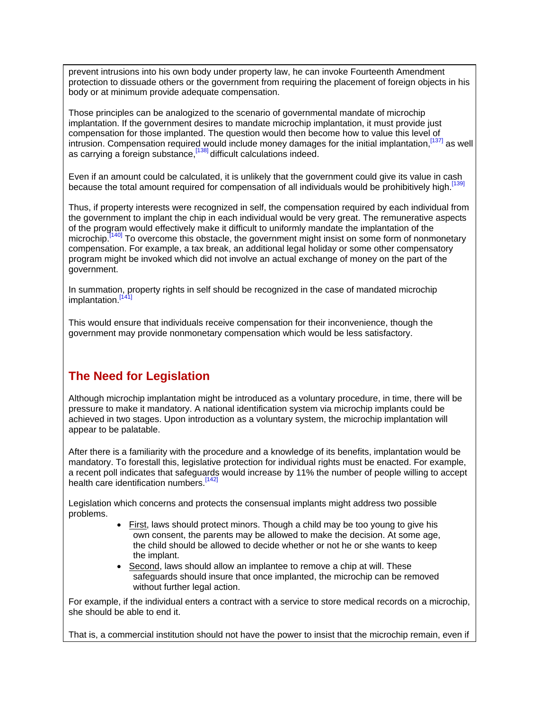prevent intrusions into his own body under property law, he can invoke Fourteenth Amendment protection to dissuade others or the government from requiring the placement of foreign objects in his body or at minimum provide adequate compensation.

Those principles can be analogized to the scenario of governmental mandate of microchip implantation. If the government desires to mandate microchip implantation, it must provide just compensation for those implanted. The question would then become how to value this level of intrusion. Compensation required would include money damages for the initial implantation, [137] as well as carrying a foreign substance, [138] difficult calculations indeed.

Even if an amount could be calculated, it is unlikely that the government could give its value in cash because the total amount required for compensation of all individuals would be prohibitively high.<sup>[13</sup>]

Thus, if property interests were recognized in self, the compensation required by each individual from the government to implant the chip in each individual would be very great. The remunerative aspects of the program would effectively make it difficult to uniformly mandate the implantation of the microchip.<sup>[140]</sup> To overcome this obstacle, the government might insist on some form of nonmonetary compensation. For example, a tax break, an additional legal holiday or some other compensatory program might be invoked which did not involve an actual exchange of money on the part of the government.

In summation, property rights in self should be recognized in the case of mandated microchip implantation.<sup>[141</sup>]

This would ensure that individuals receive compensation for their inconvenience, though the government may provide nonmonetary compensation which would be less satisfactory.

# **The Need for Legislation**

Although microchip implantation might be introduced as a voluntary procedure, in time, there will be pressure to make it mandatory. A national identification system via microchip implants could be achieved in two stages. Upon introduction as a voluntary system, the microchip implantation will appear to be palatable.

After there is a familiarity with the procedure and a knowledge of its benefits, implantation would be mandatory. To forestall this, legislative protection for individual rights must be enacted. For example, a recent poll indicates that safeguards would increase by 11% the number of people willing to accept health care identification numbers.<sup>[14]</sup>

Legislation which concerns and protects the consensual implants might address two possible problems.

- First, laws should protect minors. Though a child may be too young to give his own consent, the parents may be allowed to make the decision. At some age, the child should be allowed to decide whether or not he or she wants to keep the implant.
- Second, laws should allow an implantee to remove a chip at will. These safeguards should insure that once implanted, the microchip can be removed without further legal action.

For example, if the individual enters a contract with a service to store medical records on a microchip, she should be able to end it.

That is, a commercial institution should not have the power to insist that the microchip remain, even if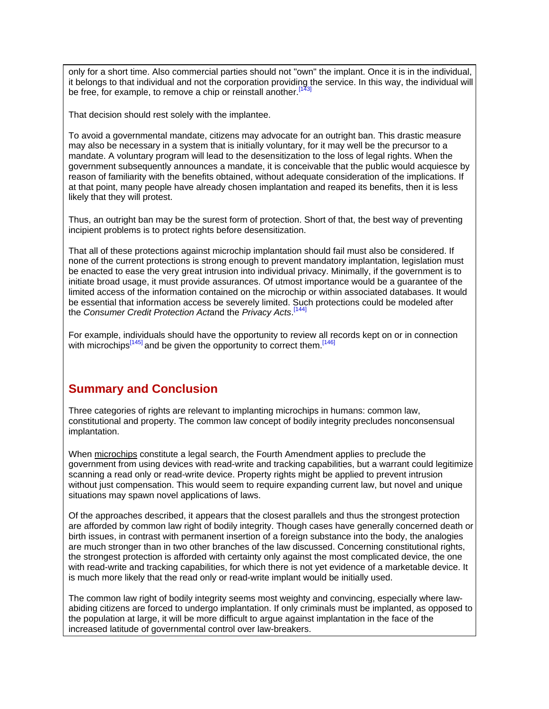only for a short time. Also commercial parties should not "own" the implant. Once it is in the individual, it belongs to that individual and not the corporation providing the service. In this way, the individual will be free, for example, to remove a chip or reinstall another.<sup>[143]</sup>

That decision should rest solely with the implantee.

To avoid a governmental mandate, citizens may advocate for an outright ban. This drastic measure may also be necessary in a system that is initially voluntary, for it may well be the precursor to a mandate. A voluntary program will lead to the desensitization to the loss of legal rights. When the government subsequently announces a mandate, it is conceivable that the public would acquiesce by reason of familiarity with the benefits obtained, without adequate consideration of the implications. If at that point, many people have already chosen implantation and reaped its benefits, then it is less likely that they will protest.

Thus, an outright ban may be the surest form of protection. Short of that, the best way of preventing incipient problems is to protect rights before desensitization.

That all of these protections against microchip implantation should fail must also be considered. If none of the current protections is strong enough to prevent mandatory implantation, legislation must be enacted to ease the very great intrusion into individual privacy. Minimally, if the government is to initiate broad usage, it must provide assurances. Of utmost importance would be a guarantee of the limited access of the information contained on the microchip or within associated databases. It would be essential that information access be severely limited. Such protections could be modeled after the *Consumer Credit Protection Act*and the *Privacy Acts*. [144]

For example, individuals should have the opportunity to review all records kept on or in connection with microchips $\frac{[145]}{]}$  and be given the opportunity to correct them.  $\frac{[146]}{]}$ 

# **Summary and Conclusion**

Three categories of rights are relevant to implanting microchips in humans: common law, constitutional and property. The common law concept of bodily integrity precludes nonconsensual implantation.

When microchips constitute a legal search, the Fourth Amendment applies to preclude the government from using devices with read-write and tracking capabilities, but a warrant could legitimize scanning a read only or read-write device. Property rights might be applied to prevent intrusion without just compensation. This would seem to require expanding current law, but novel and unique situations may spawn novel applications of laws.

Of the approaches described, it appears that the closest parallels and thus the strongest protection are afforded by common law right of bodily integrity. Though cases have generally concerned death or birth issues, in contrast with permanent insertion of a foreign substance into the body, the analogies are much stronger than in two other branches of the law discussed. Concerning constitutional rights, the strongest protection is afforded with certainty only against the most complicated device, the one with read-write and tracking capabilities, for which there is not yet evidence of a marketable device. It is much more likely that the read only or read-write implant would be initially used.

The common law right of bodily integrity seems most weighty and convincing, especially where lawabiding citizens are forced to undergo implantation. If only criminals must be implanted, as opposed to the population at large, it will be more difficult to argue against implantation in the face of the increased latitude of governmental control over law-breakers.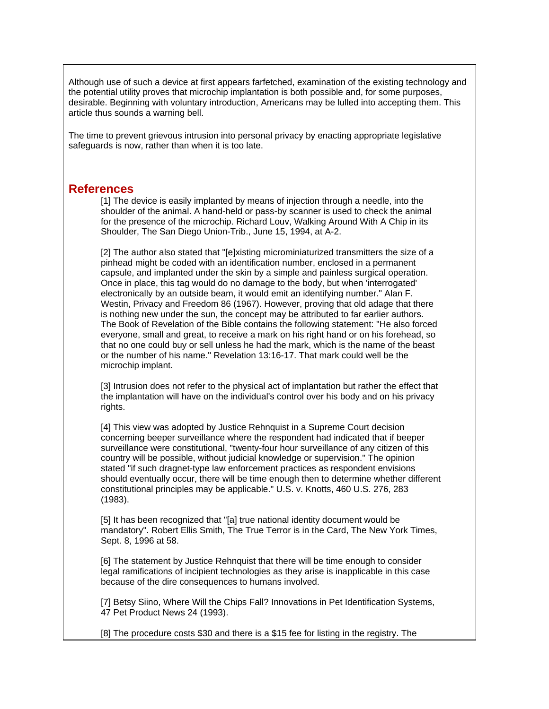Although use of such a device at first appears farfetched, examination of the existing technology and the potential utility proves that microchip implantation is both possible and, for some purposes, desirable. Beginning with voluntary introduction, Americans may be lulled into accepting them. This article thus sounds a warning bell.

The time to prevent grievous intrusion into personal privacy by enacting appropriate legislative safeguards is now, rather than when it is too late.

## **References**

[1] The device is easily implanted by means of injection through a needle, into the shoulder of the animal. A hand-held or pass-by scanner is used to check the animal for the presence of the microchip. Richard Louv, Walking Around With A Chip in its Shoulder, The San Diego Union-Trib., June 15, 1994, at A-2.

[2] The author also stated that "[e]xisting microminiaturized transmitters the size of a pinhead might be coded with an identification number, enclosed in a permanent capsule, and implanted under the skin by a simple and painless surgical operation. Once in place, this tag would do no damage to the body, but when 'interrogated' electronically by an outside beam, it would emit an identifying number." Alan F. Westin, Privacy and Freedom 86 (1967). However, proving that old adage that there is nothing new under the sun, the concept may be attributed to far earlier authors. The Book of Revelation of the Bible contains the following statement: "He also forced everyone, small and great, to receive a mark on his right hand or on his forehead, so that no one could buy or sell unless he had the mark, which is the name of the beast or the number of his name." Revelation 13:16-17. That mark could well be the microchip implant.

[3] Intrusion does not refer to the physical act of implantation but rather the effect that the implantation will have on the individual's control over his body and on his privacy rights.

[4] This view was adopted by Justice Rehnquist in a Supreme Court decision concerning beeper surveillance where the respondent had indicated that if beeper surveillance were constitutional, "twenty-four hour surveillance of any citizen of this country will be possible, without judicial knowledge or supervision." The opinion stated "if such dragnet-type law enforcement practices as respondent envisions should eventually occur, there will be time enough then to determine whether different constitutional principles may be applicable." U.S. v. Knotts, 460 U.S. 276, 283 (1983).

[5] It has been recognized that "[a] true national identity document would be mandatory". Robert Ellis Smith, The True Terror is in the Card, The New York Times, Sept. 8, 1996 at 58.

[6] The statement by Justice Rehnquist that there will be time enough to consider legal ramifications of incipient technologies as they arise is inapplicable in this case because of the dire consequences to humans involved.

[7] Betsy Siino, Where Will the Chips Fall? Innovations in Pet Identification Systems, 47 Pet Product News 24 (1993).

[8] The procedure costs \$30 and there is a \$15 fee for listing in the registry. The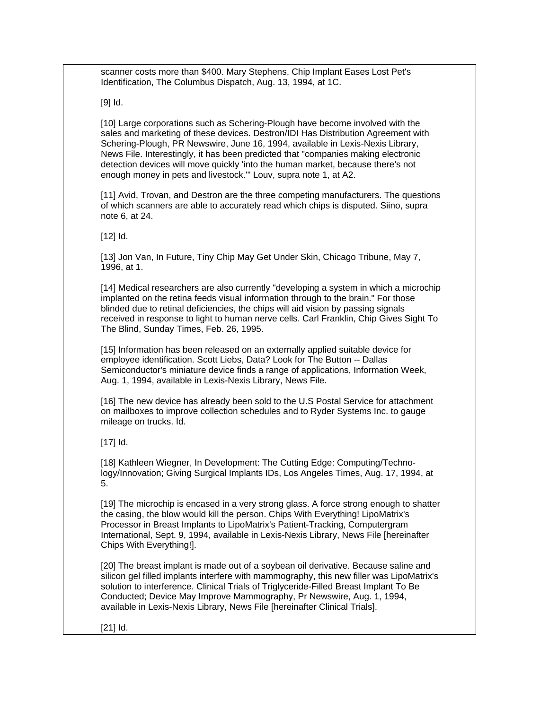scanner costs more than \$400. Mary Stephens, Chip Implant Eases Lost Pet's Identification, The Columbus Dispatch, Aug. 13, 1994, at 1C.

[9] Id.

[10] Large corporations such as Schering-Plough have become involved with the sales and marketing of these devices. Destron/IDI Has Distribution Agreement with Schering-Plough, PR Newswire, June 16, 1994, available in Lexis-Nexis Library, News File. Interestingly, it has been predicted that "companies making electronic detection devices will move quickly 'into the human market, because there's not enough money in pets and livestock.'" Louv, supra note 1, at A2.

[11] Avid, Trovan, and Destron are the three competing manufacturers. The questions of which scanners are able to accurately read which chips is disputed. Siino, supra note 6, at 24.

[12] **Id.** 

[13] Jon Van, In Future, Tiny Chip May Get Under Skin, Chicago Tribune, May 7, 1996, at 1.

[14] Medical researchers are also currently "developing a system in which a microchip implanted on the retina feeds visual information through to the brain." For those blinded due to retinal deficiencies, the chips will aid vision by passing signals received in response to light to human nerve cells. Carl Franklin, Chip Gives Sight To The Blind, Sunday Times, Feb. 26, 1995.

[15] Information has been released on an externally applied suitable device for employee identification. Scott Liebs, Data? Look for The Button -- Dallas Semiconductor's miniature device finds a range of applications, Information Week, Aug. 1, 1994, available in Lexis-Nexis Library, News File.

[16] The new device has already been sold to the U.S Postal Service for attachment on mailboxes to improve collection schedules and to Ryder Systems Inc. to gauge mileage on trucks. Id.

[17] **Id.** 

[18] Kathleen Wiegner, In Development: The Cutting Edge: Computing/Technology/Innovation; Giving Surgical Implants IDs, Los Angeles Times, Aug. 17, 1994, at 5.

[19] The microchip is encased in a very strong glass. A force strong enough to shatter the casing, the blow would kill the person. Chips With Everything! LipoMatrix's Processor in Breast Implants to LipoMatrix's Patient-Tracking, Computergram International, Sept. 9, 1994, available in Lexis-Nexis Library, News File [hereinafter Chips With Everything!].

[20] The breast implant is made out of a soybean oil derivative. Because saline and silicon gel filled implants interfere with mammography, this new filler was LipoMatrix's solution to interference. Clinical Trials of Triglyceride-Filled Breast Implant To Be Conducted; Device May Improve Mammography, Pr Newswire, Aug. 1, 1994, available in Lexis-Nexis Library, News File [hereinafter Clinical Trials].

[21] Id.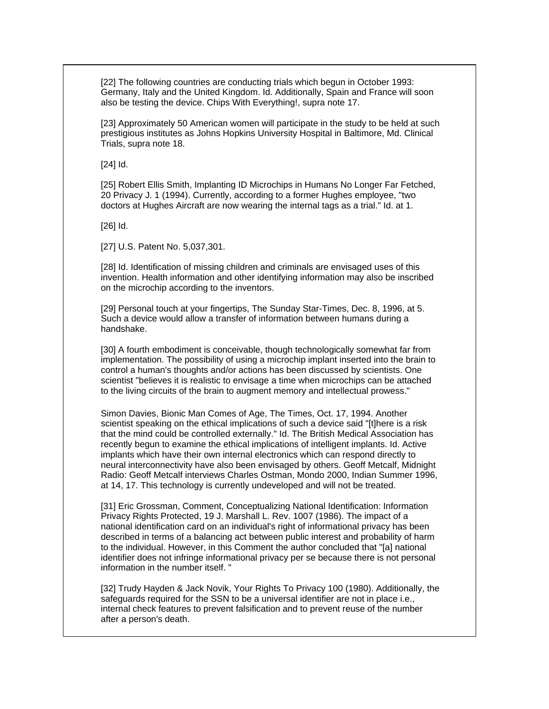[22] The following countries are conducting trials which begun in October 1993: Germany, Italy and the United Kingdom. Id. Additionally, Spain and France will soon also be testing the device. Chips With Everything!, supra note 17.

[23] Approximately 50 American women will participate in the study to be held at such prestigious institutes as Johns Hopkins University Hospital in Baltimore, Md. Clinical Trials, supra note 18.

[24] Id.

[25] Robert Ellis Smith, Implanting ID Microchips in Humans No Longer Far Fetched, 20 Privacy J. 1 (1994). Currently, according to a former Hughes employee, "two doctors at Hughes Aircraft are now wearing the internal tags as a trial." Id. at 1.

[26] Id.

[27] U.S. Patent No. 5,037,301.

[28] Id. Identification of missing children and criminals are envisaged uses of this invention. Health information and other identifying information may also be inscribed on the microchip according to the inventors.

[29] Personal touch at your fingertips, The Sunday Star-Times, Dec. 8, 1996, at 5. Such a device would allow a transfer of information between humans during a handshake.

[30] A fourth embodiment is conceivable, though technologically somewhat far from implementation. The possibility of using a microchip implant inserted into the brain to control a human's thoughts and/or actions has been discussed by scientists. One scientist "believes it is realistic to envisage a time when microchips can be attached to the living circuits of the brain to augment memory and intellectual prowess."

Simon Davies, Bionic Man Comes of Age, The Times, Oct. 17, 1994. Another scientist speaking on the ethical implications of such a device said "[t]here is a risk that the mind could be controlled externally." Id. The British Medical Association has recently begun to examine the ethical implications of intelligent implants. Id. Active implants which have their own internal electronics which can respond directly to neural interconnectivity have also been envisaged by others. Geoff Metcalf, Midnight Radio: Geoff Metcalf interviews Charles Ostman, Mondo 2000, Indian Summer 1996, at 14, 17. This technology is currently undeveloped and will not be treated.

[31] Eric Grossman, Comment, Conceptualizing National Identification: Information Privacy Rights Protected, 19 J. Marshall L. Rev. 1007 (1986). The impact of a national identification card on an individual's right of informational privacy has been described in terms of a balancing act between public interest and probability of harm to the individual. However, in this Comment the author concluded that "[a] national identifier does not infringe informational privacy per se because there is not personal information in the number itself. "

[32] Trudy Hayden & Jack Novik, Your Rights To Privacy 100 (1980). Additionally, the safeguards required for the SSN to be a universal identifier are not in place i.e., internal check features to prevent falsification and to prevent reuse of the number after a person's death.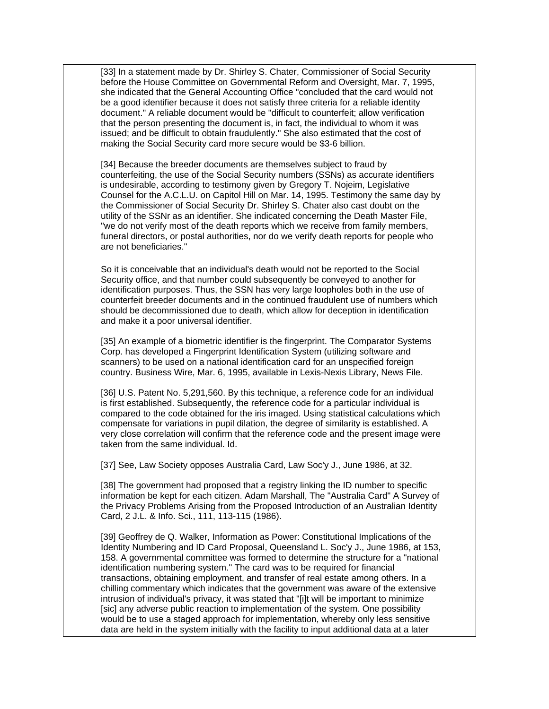[33] In a statement made by Dr. Shirley S. Chater, Commissioner of Social Security before the House Committee on Governmental Reform and Oversight, Mar. 7, 1995, she indicated that the General Accounting Office "concluded that the card would not be a good identifier because it does not satisfy three criteria for a reliable identity document." A reliable document would be "difficult to counterfeit; allow verification that the person presenting the document is, in fact, the individual to whom it was issued; and be difficult to obtain fraudulently." She also estimated that the cost of making the Social Security card more secure would be \$3-6 billion.

[34] Because the breeder documents are themselves subject to fraud by counterfeiting, the use of the Social Security numbers (SSNs) as accurate identifiers is undesirable, according to testimony given by Gregory T. Nojeim, Legislative Counsel for the A.C.L.U. on Capitol Hill on Mar. 14, 1995. Testimony the same day by the Commissioner of Social Security Dr. Shirley S. Chater also cast doubt on the utility of the SSNr as an identifier. She indicated concerning the Death Master File, "we do not verify most of the death reports which we receive from family members, funeral directors, or postal authorities, nor do we verify death reports for people who are not beneficiaries."

So it is conceivable that an individual's death would not be reported to the Social Security office, and that number could subsequently be conveyed to another for identification purposes. Thus, the SSN has very large loopholes both in the use of counterfeit breeder documents and in the continued fraudulent use of numbers which should be decommissioned due to death, which allow for deception in identification and make it a poor universal identifier.

[35] An example of a biometric identifier is the fingerprint. The Comparator Systems Corp. has developed a Fingerprint Identification System (utilizing software and scanners) to be used on a national identification card for an unspecified foreign country. Business Wire, Mar. 6, 1995, available in Lexis-Nexis Library, News File.

[36] U.S. Patent No. 5,291,560. By this technique, a reference code for an individual is first established. Subsequently, the reference code for a particular individual is compared to the code obtained for the iris imaged. Using statistical calculations which compensate for variations in pupil dilation, the degree of similarity is established. A very close correlation will confirm that the reference code and the present image were taken from the same individual. Id.

[37] See, Law Society opposes Australia Card, Law Soc'y J., June 1986, at 32.

[38] The government had proposed that a registry linking the ID number to specific information be kept for each citizen. Adam Marshall, The "Australia Card" A Survey of the Privacy Problems Arising from the Proposed Introduction of an Australian Identity Card, 2 J.L. & Info. Sci., 111, 113-115 (1986).

[39] Geoffrey de Q. Walker, Information as Power: Constitutional Implications of the Identity Numbering and ID Card Proposal, Queensland L. Soc'y J., June 1986, at 153, 158. A governmental committee was formed to determine the structure for a "national identification numbering system." The card was to be required for financial transactions, obtaining employment, and transfer of real estate among others. In a chilling commentary which indicates that the government was aware of the extensive intrusion of individual's privacy, it was stated that "[i]t will be important to minimize [sic] any adverse public reaction to implementation of the system. One possibility would be to use a staged approach for implementation, whereby only less sensitive data are held in the system initially with the facility to input additional data at a later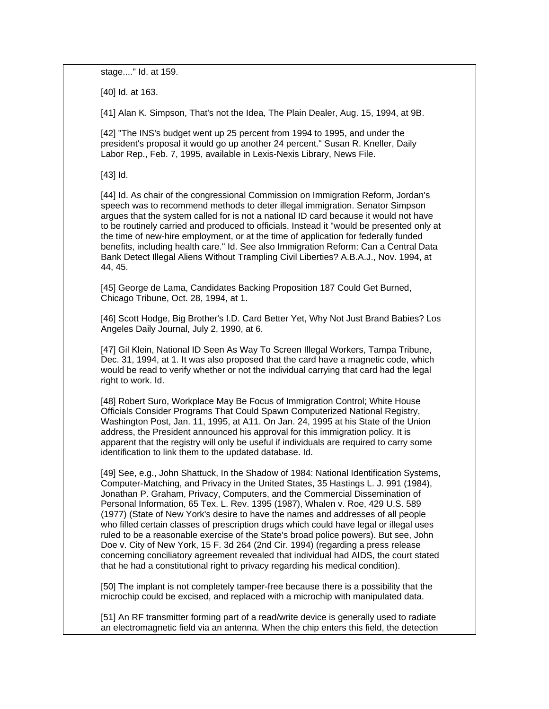stage...." Id. at 159.

[40] Id. at 163.

[41] Alan K. Simpson, That's not the Idea, The Plain Dealer, Aug. 15, 1994, at 9B.

[42] "The INS's budget went up 25 percent from 1994 to 1995, and under the president's proposal it would go up another 24 percent." Susan R. Kneller, Daily Labor Rep., Feb. 7, 1995, available in Lexis-Nexis Library, News File.

[43] Id.

[44] Id. As chair of the congressional Commission on Immigration Reform, Jordan's speech was to recommend methods to deter illegal immigration. Senator Simpson argues that the system called for is not a national ID card because it would not have to be routinely carried and produced to officials. Instead it "would be presented only at the time of new-hire employment, or at the time of application for federally funded benefits, including health care." Id. See also Immigration Reform: Can a Central Data Bank Detect Illegal Aliens Without Trampling Civil Liberties? A.B.A.J., Nov. 1994, at 44, 45.

[45] George de Lama, Candidates Backing Proposition 187 Could Get Burned, Chicago Tribune, Oct. 28, 1994, at 1.

[46] Scott Hodge, Big Brother's I.D. Card Better Yet, Why Not Just Brand Babies? Los Angeles Daily Journal, July 2, 1990, at 6.

[47] Gil Klein, National ID Seen As Way To Screen Illegal Workers, Tampa Tribune, Dec. 31, 1994, at 1. It was also proposed that the card have a magnetic code, which would be read to verify whether or not the individual carrying that card had the legal right to work. Id.

[48] Robert Suro, Workplace May Be Focus of Immigration Control; White House Officials Consider Programs That Could Spawn Computerized National Registry, Washington Post, Jan. 11, 1995, at A11. On Jan. 24, 1995 at his State of the Union address, the President announced his approval for this immigration policy. It is apparent that the registry will only be useful if individuals are required to carry some identification to link them to the updated database. Id.

[49] See, e.g., John Shattuck, In the Shadow of 1984: National Identification Systems, Computer-Matching, and Privacy in the United States, 35 Hastings L. J. 991 (1984), Jonathan P. Graham, Privacy, Computers, and the Commercial Dissemination of Personal Information, 65 Tex. L. Rev. 1395 (1987), Whalen v. Roe, 429 U.S. 589 (1977) (State of New York's desire to have the names and addresses of all people who filled certain classes of prescription drugs which could have legal or illegal uses ruled to be a reasonable exercise of the State's broad police powers). But see, John Doe v. City of New York, 15 F. 3d 264 (2nd Cir. 1994) (regarding a press release concerning conciliatory agreement revealed that individual had AIDS, the court stated that he had a constitutional right to privacy regarding his medical condition).

[50] The implant is not completely tamper-free because there is a possibility that the microchip could be excised, and replaced with a microchip with manipulated data.

[51] An RF transmitter forming part of a read/write device is generally used to radiate an electromagnetic field via an antenna. When the chip enters this field, the detection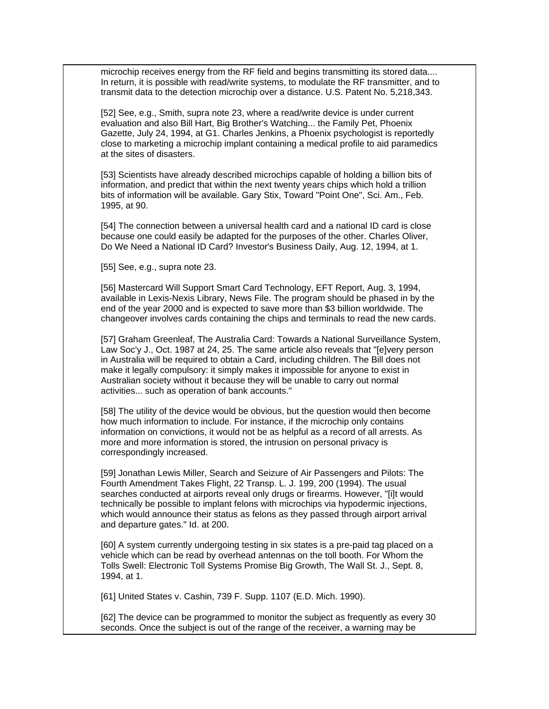microchip receives energy from the RF field and begins transmitting its stored data.... In return, it is possible with read/write systems, to modulate the RF transmitter, and to transmit data to the detection microchip over a distance. U.S. Patent No. 5,218,343.

[52] See, e.g., Smith, supra note 23, where a read/write device is under current evaluation and also Bill Hart, Big Brother's Watching... the Family Pet, Phoenix Gazette, July 24, 1994, at G1. Charles Jenkins, a Phoenix psychologist is reportedly close to marketing a microchip implant containing a medical profile to aid paramedics at the sites of disasters.

[53] Scientists have already described microchips capable of holding a billion bits of information, and predict that within the next twenty years chips which hold a trillion bits of information will be available. Gary Stix, Toward "Point One", Sci. Am., Feb. 1995, at 90.

[54] The connection between a universal health card and a national ID card is close because one could easily be adapted for the purposes of the other. Charles Oliver, Do We Need a National ID Card? Investor's Business Daily, Aug. 12, 1994, at 1.

[55] See, e.g., supra note 23.

[56] Mastercard Will Support Smart Card Technology, EFT Report, Aug. 3, 1994, available in Lexis-Nexis Library, News File. The program should be phased in by the end of the year 2000 and is expected to save more than \$3 billion worldwide. The changeover involves cards containing the chips and terminals to read the new cards.

[57] Graham Greenleaf, The Australia Card: Towards a National Surveillance System, Law Soc'y J., Oct. 1987 at 24, 25. The same article also reveals that "[e]very person in Australia will be required to obtain a Card, including children. The Bill does not make it legally compulsory: it simply makes it impossible for anyone to exist in Australian society without it because they will be unable to carry out normal activities... such as operation of bank accounts."

[58] The utility of the device would be obvious, but the question would then become how much information to include. For instance, if the microchip only contains information on convictions, it would not be as helpful as a record of all arrests. As more and more information is stored, the intrusion on personal privacy is correspondingly increased.

[59] Jonathan Lewis Miller, Search and Seizure of Air Passengers and Pilots: The Fourth Amendment Takes Flight, 22 Transp. L. J. 199, 200 (1994). The usual searches conducted at airports reveal only drugs or firearms. However, "[i]t would technically be possible to implant felons with microchips via hypodermic injections, which would announce their status as felons as they passed through airport arrival and departure gates." Id. at 200.

[60] A system currently undergoing testing in six states is a pre-paid tag placed on a vehicle which can be read by overhead antennas on the toll booth. For Whom the Tolls Swell: Electronic Toll Systems Promise Big Growth, The Wall St. J., Sept. 8, 1994, at 1.

[61] United States v. Cashin, 739 F. Supp. 1107 (E.D. Mich. 1990).

[62] The device can be programmed to monitor the subject as frequently as every 30 seconds. Once the subject is out of the range of the receiver, a warning may be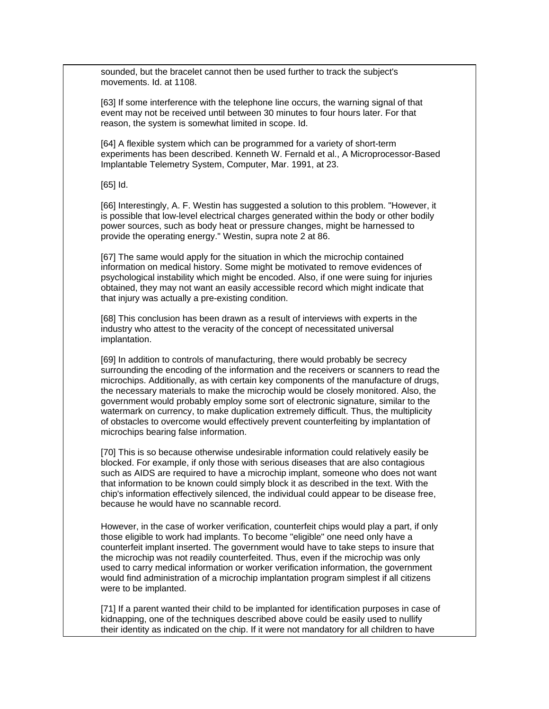sounded, but the bracelet cannot then be used further to track the subject's movements. Id. at 1108.

[63] If some interference with the telephone line occurs, the warning signal of that event may not be received until between 30 minutes to four hours later. For that reason, the system is somewhat limited in scope. Id.

[64] A flexible system which can be programmed for a variety of short-term experiments has been described. Kenneth W. Fernald et al., A Microprocessor-Based Implantable Telemetry System, Computer, Mar. 1991, at 23.

[65] Id.

[66] Interestingly, A. F. Westin has suggested a solution to this problem. "However, it is possible that low-level electrical charges generated within the body or other bodily power sources, such as body heat or pressure changes, might be harnessed to provide the operating energy." Westin, supra note 2 at 86.

[67] The same would apply for the situation in which the microchip contained information on medical history. Some might be motivated to remove evidences of psychological instability which might be encoded. Also, if one were suing for injuries obtained, they may not want an easily accessible record which might indicate that that injury was actually a pre-existing condition.

[68] This conclusion has been drawn as a result of interviews with experts in the industry who attest to the veracity of the concept of necessitated universal implantation.

[69] In addition to controls of manufacturing, there would probably be secrecy surrounding the encoding of the information and the receivers or scanners to read the microchips. Additionally, as with certain key components of the manufacture of drugs, the necessary materials to make the microchip would be closely monitored. Also, the government would probably employ some sort of electronic signature, similar to the watermark on currency, to make duplication extremely difficult. Thus, the multiplicity of obstacles to overcome would effectively prevent counterfeiting by implantation of microchips bearing false information.

[70] This is so because otherwise undesirable information could relatively easily be blocked. For example, if only those with serious diseases that are also contagious such as AIDS are required to have a microchip implant, someone who does not want that information to be known could simply block it as described in the text. With the chip's information effectively silenced, the individual could appear to be disease free, because he would have no scannable record.

However, in the case of worker verification, counterfeit chips would play a part, if only those eligible to work had implants. To become "eligible" one need only have a counterfeit implant inserted. The government would have to take steps to insure that the microchip was not readily counterfeited. Thus, even if the microchip was only used to carry medical information or worker verification information, the government would find administration of a microchip implantation program simplest if all citizens were to be implanted.

[71] If a parent wanted their child to be implanted for identification purposes in case of kidnapping, one of the techniques described above could be easily used to nullify their identity as indicated on the chip. If it were not mandatory for all children to have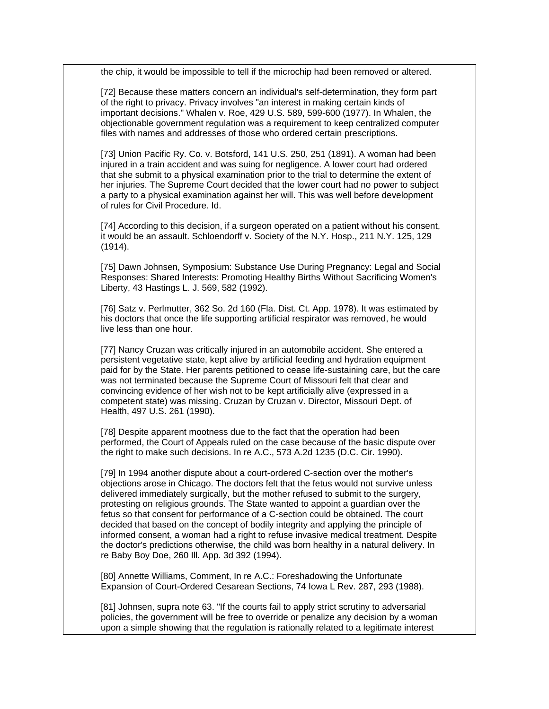the chip, it would be impossible to tell if the microchip had been removed or altered.

[72] Because these matters concern an individual's self-determination, they form part of the right to privacy. Privacy involves "an interest in making certain kinds of important decisions." Whalen v. Roe, 429 U.S. 589, 599-600 (1977). In Whalen, the objectionable government regulation was a requirement to keep centralized computer files with names and addresses of those who ordered certain prescriptions.

[73] Union Pacific Ry. Co. v. Botsford, 141 U.S. 250, 251 (1891). A woman had been injured in a train accident and was suing for negligence. A lower court had ordered that she submit to a physical examination prior to the trial to determine the extent of her injuries. The Supreme Court decided that the lower court had no power to subject a party to a physical examination against her will. This was well before development of rules for Civil Procedure. Id.

[74] According to this decision, if a surgeon operated on a patient without his consent, it would be an assault. Schloendorff v. Society of the N.Y. Hosp., 211 N.Y. 125, 129 (1914).

[75] Dawn Johnsen, Symposium: Substance Use During Pregnancy: Legal and Social Responses: Shared Interests: Promoting Healthy Births Without Sacrificing Women's Liberty, 43 Hastings L. J. 569, 582 (1992).

[76] Satz v. Perlmutter, 362 So. 2d 160 (Fla. Dist. Ct. App. 1978). It was estimated by his doctors that once the life supporting artificial respirator was removed, he would live less than one hour.

[77] Nancy Cruzan was critically injured in an automobile accident. She entered a persistent vegetative state, kept alive by artificial feeding and hydration equipment paid for by the State. Her parents petitioned to cease life-sustaining care, but the care was not terminated because the Supreme Court of Missouri felt that clear and convincing evidence of her wish not to be kept artificially alive (expressed in a competent state) was missing. Cruzan by Cruzan v. Director, Missouri Dept. of Health, 497 U.S. 261 (1990).

[78] Despite apparent mootness due to the fact that the operation had been performed, the Court of Appeals ruled on the case because of the basic dispute over the right to make such decisions. In re A.C., 573 A.2d 1235 (D.C. Cir. 1990).

[79] In 1994 another dispute about a court-ordered C-section over the mother's objections arose in Chicago. The doctors felt that the fetus would not survive unless delivered immediately surgically, but the mother refused to submit to the surgery, protesting on religious grounds. The State wanted to appoint a guardian over the fetus so that consent for performance of a C-section could be obtained. The court decided that based on the concept of bodily integrity and applying the principle of informed consent, a woman had a right to refuse invasive medical treatment. Despite the doctor's predictions otherwise, the child was born healthy in a natural delivery. In re Baby Boy Doe, 260 Ill. App. 3d 392 (1994).

[80] Annette Williams, Comment, In re A.C.: Foreshadowing the Unfortunate Expansion of Court-Ordered Cesarean Sections, 74 Iowa L Rev. 287, 293 (1988).

[81] Johnsen, supra note 63. "If the courts fail to apply strict scrutiny to adversarial policies, the government will be free to override or penalize any decision by a woman upon a simple showing that the regulation is rationally related to a legitimate interest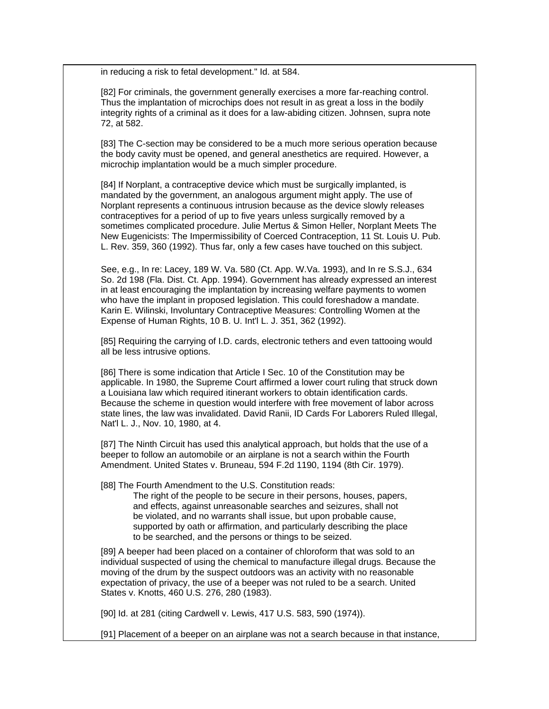in reducing a risk to fetal development." Id. at 584.

[82] For criminals, the government generally exercises a more far-reaching control. Thus the implantation of microchips does not result in as great a loss in the bodily integrity rights of a criminal as it does for a law-abiding citizen. Johnsen, supra note 72, at 582.

[83] The C-section may be considered to be a much more serious operation because the body cavity must be opened, and general anesthetics are required. However, a microchip implantation would be a much simpler procedure.

[84] If Norplant, a contraceptive device which must be surgically implanted, is mandated by the government, an analogous argument might apply. The use of Norplant represents a continuous intrusion because as the device slowly releases contraceptives for a period of up to five years unless surgically removed by a sometimes complicated procedure. Julie Mertus & Simon Heller, Norplant Meets The New Eugenicists: The Impermissibility of Coerced Contraception, 11 St. Louis U. Pub. L. Rev. 359, 360 (1992). Thus far, only a few cases have touched on this subject.

See, e.g., In re: Lacey, 189 W. Va. 580 (Ct. App. W.Va. 1993), and In re S.S.J., 634 So. 2d 198 (Fla. Dist. Ct. App. 1994). Government has already expressed an interest in at least encouraging the implantation by increasing welfare payments to women who have the implant in proposed legislation. This could foreshadow a mandate. Karin E. Wilinski, Involuntary Contraceptive Measures: Controlling Women at the Expense of Human Rights, 10 B. U. Int'l L. J. 351, 362 (1992).

[85] Requiring the carrying of I.D. cards, electronic tethers and even tattooing would all be less intrusive options.

[86] There is some indication that Article I Sec. 10 of the Constitution may be applicable. In 1980, the Supreme Court affirmed a lower court ruling that struck down a Louisiana law which required itinerant workers to obtain identification cards. Because the scheme in question would interfere with free movement of labor across state lines, the law was invalidated. David Ranii, ID Cards For Laborers Ruled Illegal, Nat'l L. J., Nov. 10, 1980, at 4.

[87] The Ninth Circuit has used this analytical approach, but holds that the use of a beeper to follow an automobile or an airplane is not a search within the Fourth Amendment. United States v. Bruneau, 594 F.2d 1190, 1194 (8th Cir. 1979).

[88] The Fourth Amendment to the U.S. Constitution reads:

The right of the people to be secure in their persons, houses, papers, and effects, against unreasonable searches and seizures, shall not be violated, and no warrants shall issue, but upon probable cause, supported by oath or affirmation, and particularly describing the place to be searched, and the persons or things to be seized.

[89] A beeper had been placed on a container of chloroform that was sold to an individual suspected of using the chemical to manufacture illegal drugs. Because the moving of the drum by the suspect outdoors was an activity with no reasonable expectation of privacy, the use of a beeper was not ruled to be a search. United States v. Knotts, 460 U.S. 276, 280 (1983).

[90] Id. at 281 (citing Cardwell v. Lewis, 417 U.S. 583, 590 (1974)).

[91] Placement of a beeper on an airplane was not a search because in that instance,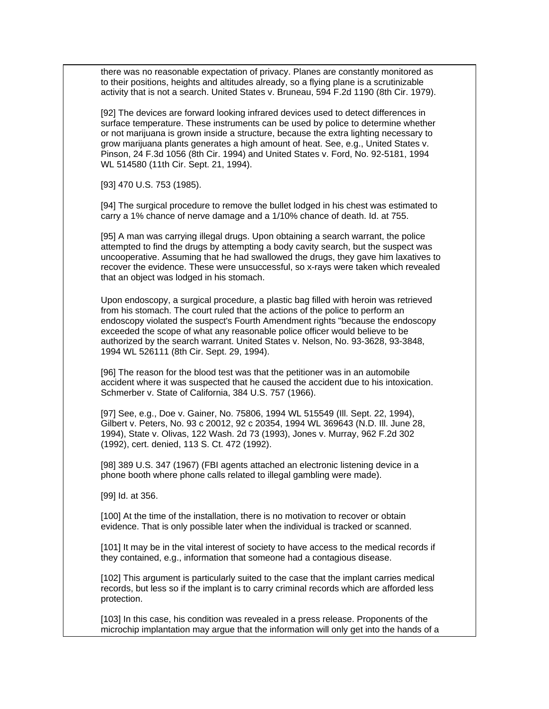there was no reasonable expectation of privacy. Planes are constantly monitored as to their positions, heights and altitudes already, so a flying plane is a scrutinizable activity that is not a search. United States v. Bruneau, 594 F.2d 1190 (8th Cir. 1979).

[92] The devices are forward looking infrared devices used to detect differences in surface temperature. These instruments can be used by police to determine whether or not marijuana is grown inside a structure, because the extra lighting necessary to grow marijuana plants generates a high amount of heat. See, e.g., United States v. Pinson, 24 F.3d 1056 (8th Cir. 1994) and United States v. Ford, No. 92-5181, 1994 WL 514580 (11th Cir. Sept. 21, 1994).

[93] 470 U.S. 753 (1985).

[94] The surgical procedure to remove the bullet lodged in his chest was estimated to carry a 1% chance of nerve damage and a 1/10% chance of death. Id. at 755.

[95] A man was carrying illegal drugs. Upon obtaining a search warrant, the police attempted to find the drugs by attempting a body cavity search, but the suspect was uncooperative. Assuming that he had swallowed the drugs, they gave him laxatives to recover the evidence. These were unsuccessful, so x-rays were taken which revealed that an object was lodged in his stomach.

Upon endoscopy, a surgical procedure, a plastic bag filled with heroin was retrieved from his stomach. The court ruled that the actions of the police to perform an endoscopy violated the suspect's Fourth Amendment rights "because the endoscopy exceeded the scope of what any reasonable police officer would believe to be authorized by the search warrant. United States v. Nelson, No. 93-3628, 93-3848, 1994 WL 526111 (8th Cir. Sept. 29, 1994).

[96] The reason for the blood test was that the petitioner was in an automobile accident where it was suspected that he caused the accident due to his intoxication. Schmerber v. State of California, 384 U.S. 757 (1966).

[97] See, e.g., Doe v. Gainer, No. 75806, 1994 WL 515549 (Ill. Sept. 22, 1994), Gilbert v. Peters, No. 93 c 20012, 92 c 20354, 1994 WL 369643 (N.D. Ill. June 28, 1994), State v. Olivas, 122 Wash. 2d 73 (1993), Jones v. Murray, 962 F.2d 302 (1992), cert. denied, 113 S. Ct. 472 (1992).

[98] 389 U.S. 347 (1967) (FBI agents attached an electronic listening device in a phone booth where phone calls related to illegal gambling were made).

[99] Id. at 356.

[100] At the time of the installation, there is no motivation to recover or obtain evidence. That is only possible later when the individual is tracked or scanned.

[101] It may be in the vital interest of society to have access to the medical records if they contained, e.g., information that someone had a contagious disease.

[102] This argument is particularly suited to the case that the implant carries medical records, but less so if the implant is to carry criminal records which are afforded less protection.

[103] In this case, his condition was revealed in a press release. Proponents of the microchip implantation may argue that the information will only get into the hands of a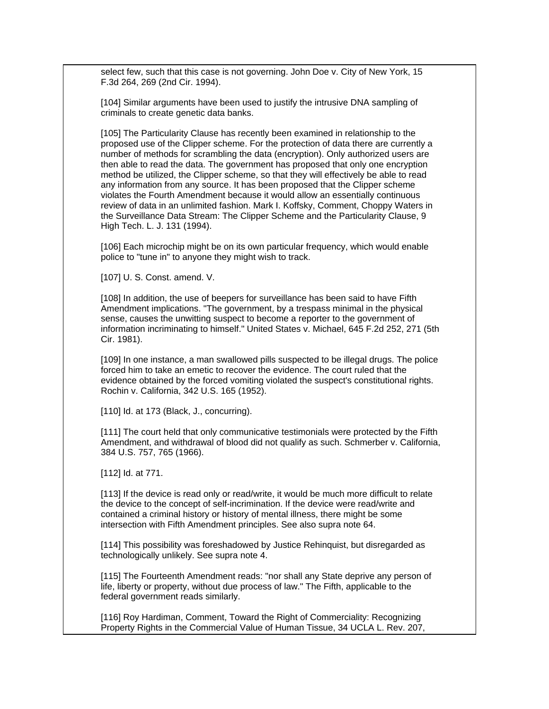select few, such that this case is not governing. John Doe v. City of New York, 15 F.3d 264, 269 (2nd Cir. 1994).

[104] Similar arguments have been used to justify the intrusive DNA sampling of criminals to create genetic data banks.

[105] The Particularity Clause has recently been examined in relationship to the proposed use of the Clipper scheme. For the protection of data there are currently a number of methods for scrambling the data (encryption). Only authorized users are then able to read the data. The government has proposed that only one encryption method be utilized, the Clipper scheme, so that they will effectively be able to read any information from any source. It has been proposed that the Clipper scheme violates the Fourth Amendment because it would allow an essentially continuous review of data in an unlimited fashion. Mark I. Koffsky, Comment, Choppy Waters in the Surveillance Data Stream: The Clipper Scheme and the Particularity Clause, 9 High Tech. L. J. 131 (1994).

[106] Each microchip might be on its own particular frequency, which would enable police to "tune in" to anyone they might wish to track.

[107] U. S. Const. amend. V.

[108] In addition, the use of beepers for surveillance has been said to have Fifth Amendment implications. "The government, by a trespass minimal in the physical sense, causes the unwitting suspect to become a reporter to the government of information incriminating to himself." United States v. Michael, 645 F.2d 252, 271 (5th Cir. 1981).

[109] In one instance, a man swallowed pills suspected to be illegal drugs. The police forced him to take an emetic to recover the evidence. The court ruled that the evidence obtained by the forced vomiting violated the suspect's constitutional rights. Rochin v. California, 342 U.S. 165 (1952).

[110] Id. at 173 (Black, J., concurring).

[111] The court held that only communicative testimonials were protected by the Fifth Amendment, and withdrawal of blood did not qualify as such. Schmerber v. California, 384 U.S. 757, 765 (1966).

[112] Id. at 771.

[113] If the device is read only or read/write, it would be much more difficult to relate the device to the concept of self-incrimination. If the device were read/write and contained a criminal history or history of mental illness, there might be some intersection with Fifth Amendment principles. See also supra note 64.

[114] This possibility was foreshadowed by Justice Rehinquist, but disregarded as technologically unlikely. See supra note 4.

[115] The Fourteenth Amendment reads: "nor shall any State deprive any person of life, liberty or property, without due process of law." The Fifth, applicable to the federal government reads similarly.

[116] Roy Hardiman, Comment, Toward the Right of Commerciality: Recognizing Property Rights in the Commercial Value of Human Tissue, 34 UCLA L. Rev. 207,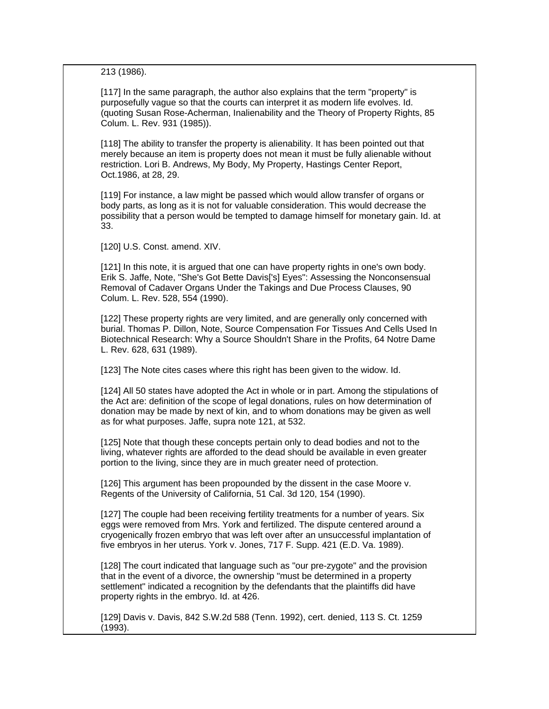213 (1986).

[117] In the same paragraph, the author also explains that the term "property" is purposefully vague so that the courts can interpret it as modern life evolves. Id. (quoting Susan Rose-Acherman, Inalienability and the Theory of Property Rights, 85 Colum. L. Rev. 931 (1985)).

[118] The ability to transfer the property is alienability. It has been pointed out that merely because an item is property does not mean it must be fully alienable without restriction. Lori B. Andrews, My Body, My Property, Hastings Center Report, Oct.1986, at 28, 29.

[119] For instance, a law might be passed which would allow transfer of organs or body parts, as long as it is not for valuable consideration. This would decrease the possibility that a person would be tempted to damage himself for monetary gain. Id. at 33.

[120] U.S. Const. amend. XIV.

[121] In this note, it is argued that one can have property rights in one's own body. Erik S. Jaffe, Note, "She's Got Bette Davis['s] Eyes": Assessing the Nonconsensual Removal of Cadaver Organs Under the Takings and Due Process Clauses, 90 Colum. L. Rev. 528, 554 (1990).

[122] These property rights are very limited, and are generally only concerned with burial. Thomas P. Dillon, Note, Source Compensation For Tissues And Cells Used In Biotechnical Research: Why a Source Shouldn't Share in the Profits, 64 Notre Dame L. Rev. 628, 631 (1989).

[123] The Note cites cases where this right has been given to the widow. Id.

[124] All 50 states have adopted the Act in whole or in part. Among the stipulations of the Act are: definition of the scope of legal donations, rules on how determination of donation may be made by next of kin, and to whom donations may be given as well as for what purposes. Jaffe, supra note 121, at 532.

[125] Note that though these concepts pertain only to dead bodies and not to the living, whatever rights are afforded to the dead should be available in even greater portion to the living, since they are in much greater need of protection.

[126] This argument has been propounded by the dissent in the case Moore v. Regents of the University of California, 51 Cal. 3d 120, 154 (1990).

[127] The couple had been receiving fertility treatments for a number of years. Six eggs were removed from Mrs. York and fertilized. The dispute centered around a cryogenically frozen embryo that was left over after an unsuccessful implantation of five embryos in her uterus. York v. Jones, 717 F. Supp. 421 (E.D. Va. 1989).

[128] The court indicated that language such as "our pre-zygote" and the provision that in the event of a divorce, the ownership "must be determined in a property settlement" indicated a recognition by the defendants that the plaintiffs did have property rights in the embryo. Id. at 426.

[129] Davis v. Davis, 842 S.W.2d 588 (Tenn. 1992), cert. denied, 113 S. Ct. 1259 (1993).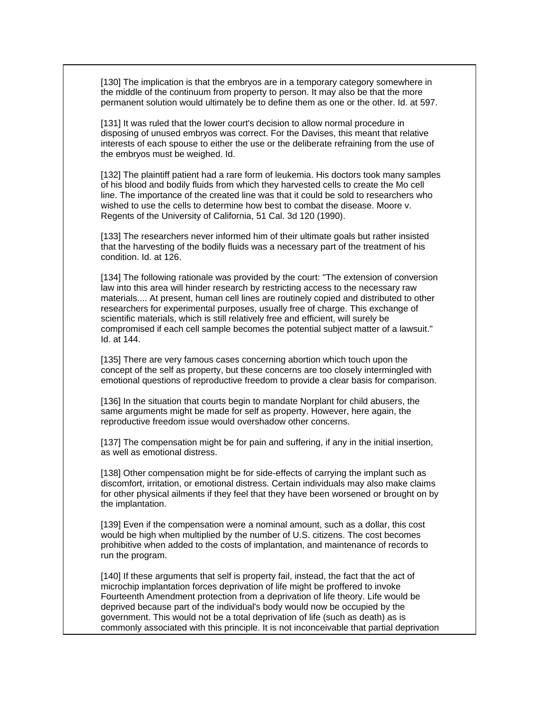[130] The implication is that the embryos are in a temporary category somewhere in the middle of the continuum from property to person. It may also be that the more permanent solution would ultimately be to define them as one or the other. Id. at 597.

[131] It was ruled that the lower court's decision to allow normal procedure in disposing of unused embryos was correct. For the Davises, this meant that relative interests of each spouse to either the use or the deliberate refraining from the use of the embryos must be weighed. Id.

[132] The plaintiff patient had a rare form of leukemia. His doctors took many samples of his blood and bodily fluids from which they harvested cells to create the Mo cell line. The importance of the created line was that it could be sold to researchers who wished to use the cells to determine how best to combat the disease. Moore v. Regents of the University of California, 51 Cal. 3d 120 (1990).

[133] The researchers never informed him of their ultimate goals but rather insisted that the harvesting of the bodily fluids was a necessary part of the treatment of his condition. Id. at 126.

[134] The following rationale was provided by the court: "The extension of conversion law into this area will hinder research by restricting access to the necessary raw materials.... At present, human cell lines are routinely copied and distributed to other researchers for experimental purposes, usually free of charge. This exchange of scientific materials, which is still relatively free and efficient, will surely be compromised if each cell sample becomes the potential subject matter of a lawsuit." Id. at 144.

[135] There are very famous cases concerning abortion which touch upon the concept of the self as property, but these concerns are too closely intermingled with emotional questions of reproductive freedom to provide a clear basis for comparison.

[136] In the situation that courts begin to mandate Norplant for child abusers, the same arguments might be made for self as property. However, here again, the reproductive freedom issue would overshadow other concerns.

[137] The compensation might be for pain and suffering, if any in the initial insertion, as well as emotional distress.

[138] Other compensation might be for side-effects of carrying the implant such as discomfort, irritation, or emotional distress. Certain individuals may also make claims for other physical ailments if they feel that they have been worsened or brought on by the implantation.

[139] Even if the compensation were a nominal amount, such as a dollar, this cost would be high when multiplied by the number of U.S. citizens. The cost becomes prohibitive when added to the costs of implantation, and maintenance of records to run the program.

[140] If these arguments that self is property fail, instead, the fact that the act of microchip implantation forces deprivation of life might be proffered to invoke Fourteenth Amendment protection from a deprivation of life theory. Life would be deprived because part of the individual's body would now be occupied by the government. This would not be a total deprivation of life (such as death) as is commonly associated with this principle. It is not inconceivable that partial deprivation